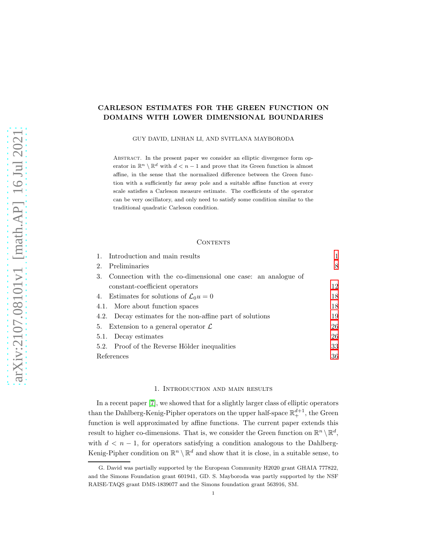# CARLESON ESTIMATES FOR THE GREEN FUNCTION ON DOMAINS WITH LOWER DIMENSIONAL BOUNDARIES

GUY DAVID, LINHAN LI, AND SVITLANA MAYBORODA

ABSTRACT. In the present paper we consider an elliptic divergence form operator in  $\mathbb{R}^n \setminus \mathbb{R}^d$  with  $d < n - 1$  and prove that its Green function is almost affine, in the sense that the normalized difference between the Green function with a sufficiently far away pole and a suitable affine function at every scale satisfies a Carleson measure estimate. The coefficients of the operator can be very oscillatory, and only need to satisfy some condition similar to the traditional quadratic Carleson condition.

### CONTENTS

| 1.         | Introduction and main results                               |    |
|------------|-------------------------------------------------------------|----|
| 2.         | Preliminaries                                               | 8  |
| 3.         | Connection with the co-dimensional one case: an analogue of |    |
|            | constant-coefficient operators                              | 12 |
|            | 4. Estimates for solutions of $\mathcal{L}_0 u = 0$         | 18 |
|            | 4.1. More about function spaces                             | 18 |
|            | 4.2. Decay estimates for the non-affine part of solutions   | 19 |
|            | 5. Extension to a general operator $\mathcal L$             | 26 |
| 5.1.       | Decay estimates                                             | 26 |
|            | 5.2. Proof of the Reverse Hölder inequalities               | 33 |
| References |                                                             | 36 |

### 1. Introduction and main results

<span id="page-0-0"></span>In a recent paper [\[7\]](#page-35-1), we showed that for a slightly larger class of elliptic operators than the Dahlberg-Kenig-Pipher operators on the upper half-space  $\mathbb{R}^{d+1}_+$ , the Green function is well approximated by affine functions. The current paper extends this result to higher co-dimensions. That is, we consider the Green function on  $\mathbb{R}^n \setminus \mathbb{R}^d$ , with  $d < n - 1$ , for operators satisfying a condition analogous to the Dahlberg-Kenig-Pipher condition on  $\mathbb{R}^n \setminus \mathbb{R}^d$  and show that it is close, in a suitable sense, to

G. David was partially supported by the European Community H2020 grant GHAIA 777822, and the Simons Foundation grant 601941, GD. S. Mayboroda was partly supported by the NSF RAISE-TAQS grant DMS-1839077 and the Simons foundation grant 563916, SM.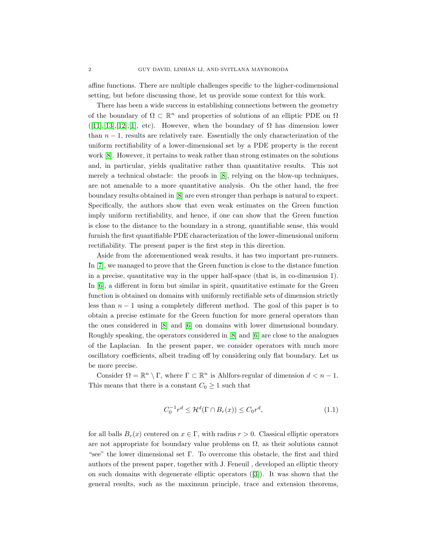affine functions. There are multiple challenges specific to the higher-codimensional setting, but before discussing those, let us provide some context for this work.

There has been a wide success in establishing connections between the geometry of the boundary of  $\Omega \subset \mathbb{R}^n$  and properties of solutions of an elliptic PDE on  $\Omega$  $([11],[13],[12],[1],$  $([11],[13],[12],[1],$  $([11],[13],[12],[1],$  $([11],[13],[12],[1],$  $([11],[13],[12],[1],$  $([11],[13],[12],[1],$  $([11],[13],[12],[1],$  $([11],[13],[12],[1],$  $([11],[13],[12],[1],$  etc). However, when the boundary of  $\Omega$  has dimension lower than  $n-1$ , results are relatively rare. Essentially the only characterization of the uniform rectifiability of a lower-dimensional set by a PDE property is the recent work [\[8\]](#page-36-3). However, it pertains to weak rather than strong estimates on the solutions and, in particular, yields qualitative rather than quantitative results. This not merely a technical obstacle: the proofs in [\[8\]](#page-36-3), relying on the blow-up techniques, are not amenable to a more quantitative analysis. On the other hand, the free boundary results obtained in [\[8\]](#page-36-3) are even stronger than perhaps is natural to expect. Specifically, the authors show that even weak estimates on the Green function imply uniform rectifiability, and hence, if one can show that the Green function is close to the distance to the boundary in a strong, quantifiable sense, this would furnish the first quantifiable PDE characterization of the lower-dimensional uniform rectifiability. The present paper is the first step in this direction.

Aside from the aforementioned weak results, it has two important pre-runners. In [\[7\]](#page-35-1), we managed to prove that the Green function is close to the distance function in a precise, quantitative way in the upper half-space (that is, in co-dimension 1). In [\[6\]](#page-35-3), a different in form but similar in spirit, quantitative estimate for the Green function is obtained on domains with uniformly rectifiable sets of dimension strictly less than  $n - 1$  using a completely different method. The goal of this paper is to obtain a precise estimate for the Green function for more general operators than the ones considered in [\[8\]](#page-36-3) and [\[6\]](#page-35-3) on domains with lower dimensional boundary. Roughly speaking, the operators considered in [\[8\]](#page-36-3) and [\[6\]](#page-35-3) are close to the analogues of the Laplacian. In the present paper, we consider operators with much more oscillatory coefficients, albeit trading off by considering only flat boundary. Let us be more precise.

Consider  $\Omega = \mathbb{R}^n \setminus \Gamma$ , where  $\Gamma \subset \mathbb{R}^n$  is Ahlfors-regular of dimension  $d < n - 1$ . This means that there is a constant  $C_0 \geq 1$  such that

$$
C_0^{-1}r^d \le \mathcal{H}^d(\Gamma \cap B_r(x)) \le C_0r^d,\tag{1.1}
$$

for all balls  $B_r(x)$  centered on  $x \in \Gamma$ , with radius  $r > 0$ . Classical elliptic operators are not appropriate for boundary value problems on  $\Omega$ , as their solutions cannot "see" the lower dimensional set  $\Gamma$ . To overcome this obstacle, the first and third authors of the present paper, together with J. Feneuil , developed an elliptic theory on such domains with degenerate elliptic operators([\[3\]](#page-35-4)). It was shown that the general results, such as the maximum principle, trace and extension theorems,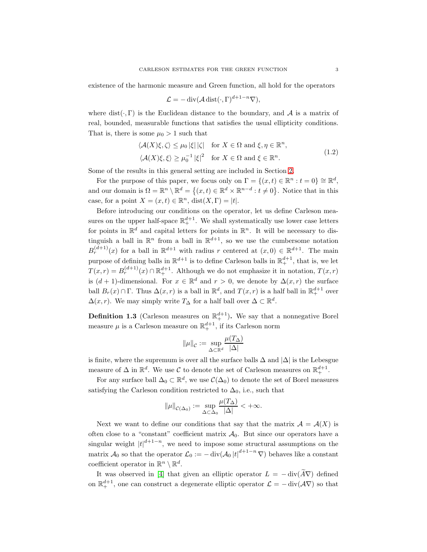existence of the harmonic measure and Green function, all hold for the operators

$$
\mathcal{L} = -\operatorname{div}(\mathcal{A}\operatorname{dist}(\cdot,\Gamma)^{d+1-n}\nabla),
$$

where dist( $\cdot$ , Γ) is the Euclidean distance to the boundary, and A is a matrix of real, bounded, measurable functions that satisfies the usual ellipticity conditions. That is, there is some  $\mu_0 > 1$  such that

<span id="page-2-0"></span>
$$
\langle \mathcal{A}(X)\xi, \zeta \rangle \le \mu_0 |\xi| |\zeta| \quad \text{for } X \in \Omega \text{ and } \xi, \eta \in \mathbb{R}^n,
$$
  

$$
\langle \mathcal{A}(X)\xi, \xi \rangle \ge \mu_0^{-1} |\xi|^2 \quad \text{for } X \in \Omega \text{ and } \xi \in \mathbb{R}^n.
$$
 (1.2)

Some of the results in this general setting are included in Section [2.](#page-7-0)

For the purpose of this paper, we focus only on  $\Gamma = \{(x, t) \in \mathbb{R}^n : t = 0\} \cong \mathbb{R}^d$ , and our domain is  $\Omega = \mathbb{R}^n \setminus \mathbb{R}^d = \{(x, t) \in \mathbb{R}^d \times \mathbb{R}^{n-d} : t \neq 0\}$ . Notice that in this case, for a point  $X = (x, t) \in \mathbb{R}^n$ ,  $dist(X, \Gamma) = |t|$ .

Before introducing our conditions on the operator, let us define Carleson measures on the upper half-space  $\mathbb{R}^{d+1}_+$ . We shall systematically use lower case letters for points in  $\mathbb{R}^d$  and capital letters for points in  $\mathbb{R}^n$ . It will be necessary to distinguish a ball in  $\mathbb{R}^n$  from a ball in  $\mathbb{R}^{d+1}$ , so we use the cumbersome notation  $B_r^{(d+1)}(x)$  for a ball in  $\mathbb{R}^{d+1}$  with radius r centered at  $(x, 0) \in \mathbb{R}^{d+1}$ . The main purpose of defining balls in  $\mathbb{R}^{d+1}$  is to define Carleson balls in  $\mathbb{R}^{d+1}_+$ , that is, we let  $T(x,r) = B_r^{(d+1)}(x) \cap \mathbb{R}^{d+1}_+$ . Although we do not emphasize it in notation,  $T(x,r)$ is  $(d + 1)$ -dimensional. For  $x \in \mathbb{R}^d$  and  $r > 0$ , we denote by  $\Delta(x, r)$  the surface ball  $B_r(x) \cap \Gamma$ . Thus  $\Delta(x, r)$  is a ball in  $\mathbb{R}^d$ , and  $T(x, r)$  is a half ball in  $\mathbb{R}^{d+1}_+$  over  $\Delta(x,r)$ . We may simply write  $T_{\Delta}$  for a half ball over  $\Delta \subset \mathbb{R}^d$ .

**Definition 1.3** (Carleson measures on  $\mathbb{R}^{d+1}_+$ ). We say that a nonnegative Borel measure  $\mu$  is a Carleson measure on  $\mathbb{R}^{d+1}_+$ , if its Carleson norm

$$
\|\mu\|_{\mathcal{C}} := \sup_{\Delta \subset \mathbb{R}^d} \frac{\mu(T_{\Delta})}{|\Delta|}
$$

is finite, where the supremum is over all the surface balls  $\Delta$  and  $|\Delta|$  is the Lebesgue measure of  $\Delta$  in  $\mathbb{R}^d$ . We use  $\mathcal C$  to denote the set of Carleson measures on  $\mathbb{R}^{d+1}_+$ .

For any surface ball  $\Delta_0 \subset \mathbb{R}^d$ , we use  $\mathcal{C}(\Delta_0)$  to denote the set of Borel measures satisfying the Carleson condition restricted to  $\Delta_0$ , i.e., such that

$$
\|\mu\|_{\mathcal{C}(\Delta_0)} := \sup_{\Delta \subset \Delta_0} \frac{\mu(T_\Delta)}{|\Delta|} < +\infty.
$$

Next we want to define our conditions that say that the matrix  $\mathcal{A} = \mathcal{A}(X)$  is often close to a "constant" coefficient matrix  $A_0$ . But since our operators have a singular weight  $|t|^{d+1-n}$ , we need to impose some structural assumptions on the matrix  $\mathcal{A}_0$  so that the operator  $\mathcal{L}_0 := -\operatorname{div}(\mathcal{A}_0 |t|^{d+1-n} \nabla)$  behaves like a constant coefficient operator in  $\mathbb{R}^n \setminus \mathbb{R}^d$ .

It was observed in [\[4\]](#page-35-5) that given an elliptic operator  $L = -\operatorname{div}(\widetilde{A}\nabla)$  defined on  $\mathbb{R}^{d+1}_+$ , one can construct a degenerate elliptic operator  $\mathcal{L} = -\operatorname{div}(\mathcal{A}\nabla)$  so that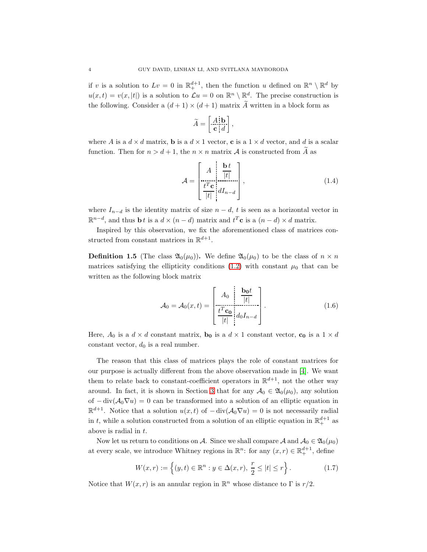if v is a solution to  $Lv = 0$  in  $\mathbb{R}^{d+1}_+$ , then the function u defined on  $\mathbb{R}^n \setminus \mathbb{R}^d$  by  $u(x,t) = v(x, |t|)$  is a solution to  $\mathcal{L}u = 0$  on  $\mathbb{R}^n \setminus \mathbb{R}^d$ . The precise construction is the following. Consider a  $(d+1) \times (d+1)$  matrix A written in a block form as

$$
\widetilde{A} = \left[ \begin{array}{c} A \, \mathbf{b} \\ \mathbf{c} \, \mathbf{d} \end{array} \right],
$$

where A is a  $d \times d$  matrix, **b** is a  $d \times 1$  vector, **c** is a  $1 \times d$  vector, and d is a scalar function. Then for  $n > d + 1$ , the  $n \times n$  matrix A is constructed from A as

<span id="page-3-0"></span>
$$
\mathcal{A} = \begin{bmatrix} A & \mathbf{b} t \\ \frac{t^T \mathbf{c}}{|t|} & \frac{1}{|t|} \\ \frac{t^T \mathbf{c}}{|t|} & \frac{1}{2} dI_{n-d} \end{bmatrix},\tag{1.4}
$$

where  $I_{n-d}$  is the identity matrix of size  $n-d$ , t is seen as a horizontal vector in  $\mathbb{R}^{n-d}$ , and thus **b** t is a  $d \times (n-d)$  matrix and  $t^T$ **c** is a  $(n-d) \times d$  matrix.

Inspired by this observation, we fix the aforementioned class of matrices constructed from constant matrices in  $\mathbb{R}^{d+1}$ .

**Definition 1.5** (The class  $\mathfrak{A}_0(\mu_0)$ ). We define  $\mathfrak{A}_0(\mu_0)$  to be the class of  $n \times n$ matrices satisfying the ellipticity conditions  $(1.2)$  with constant  $\mu_0$  that can be written as the following block matrix

<span id="page-3-1"></span>
$$
\mathcal{A}_0 = \mathcal{A}_0(x, t) = \begin{bmatrix} A_0 & \frac{\mathbf{b}_0 t}{|t|} \\ \frac{t^T \mathbf{c}_0}{|t|} & d_0 I_{n-d} \end{bmatrix} . \tag{1.6}
$$

Here,  $A_0$  is a  $d \times d$  constant matrix, **b**<sub>0</sub> is a  $d \times 1$  constant vector, **c**<sub>0</sub> is a  $1 \times d$ constant vector,  $d_0$  is a real number.

The reason that this class of matrices plays the role of constant matrices for our purpose is actually different from the above observation made in [\[4\]](#page-35-5). We want them to relate back to constant-coefficient operators in  $\mathbb{R}^{d+1}$ , not the other way around. In fact, it is shown in Section [3](#page-11-0) that for any  $A_0 \in \mathfrak{A}_0(\mu_0)$ , any solution of  $-\text{div}(\mathcal{A}_0 \nabla u) = 0$  can be transformed into a solution of an elliptic equation in  $\mathbb{R}^{d+1}$ . Notice that a solution  $u(x,t)$  of  $-\text{div}(\mathcal{A}_0 \nabla u) = 0$  is not necessarily radial in t, while a solution constructed from a solution of an elliptic equation in  $\mathbb{R}^{d+1}_+$  as above is radial in t.

Now let us return to conditions on A. Since we shall compare A and  $A_0 \in \mathfrak{A}_0(\mu_0)$ at every scale, we introduce Whitney regions in  $\mathbb{R}^n$ : for any  $(x, r) \in \mathbb{R}^{d+1}_+$ , define

$$
W(x,r) := \left\{ (y,t) \in \mathbb{R}^n : y \in \Delta(x,r), \, \frac{r}{2} \le |t| \le r \right\}.
$$
 (1.7)

Notice that  $W(x, r)$  is an annular region in  $\mathbb{R}^n$  whose distance to  $\Gamma$  is  $r/2$ .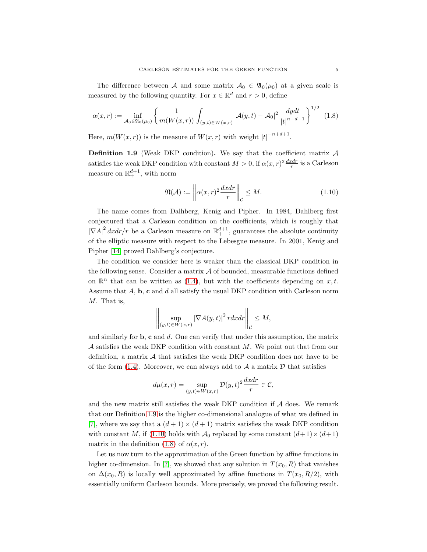The difference between A and some matrix  $A_0 \in \mathfrak{A}_0(\mu_0)$  at a given scale is measured by the following quantity. For  $x \in \mathbb{R}^d$  and  $r > 0$ , define

<span id="page-4-2"></span>
$$
\alpha(x,r) := \inf_{\mathcal{A}_0 \in \mathfrak{A}_0(\mu_0)} \left\{ \frac{1}{m(W(x,r))} \int_{(y,t) \in W(x,r)} |\mathcal{A}(y,t) - \mathcal{A}_0|^2 \frac{dydt}{|t|^{n-d-1}} \right\}^{1/2} (1.8)
$$

Here,  $m(W(x,r))$  is the measure of  $W(x,r)$  with weight  $|t|^{-n+d+1}$ .

<span id="page-4-0"></span>**Definition 1.9** (Weak DKP condition). We say that the coefficient matrix  $\mathcal A$ satisfies the weak DKP condition with constant  $M > 0$ , if  $\alpha(x, r)^2 \frac{dx dr}{r}$  is a Carleson measure on  $\mathbb{R}^{d+1}_+$ , with norm

<span id="page-4-1"></span>
$$
\mathfrak{N}(\mathcal{A}) := \left\| \alpha(x, r)^2 \frac{dx dr}{r} \right\|_{\mathcal{C}} \le M. \tag{1.10}
$$

The name comes from Dalhberg, Kenig and Pipher. In 1984, Dahlberg first conjectured that a Carleson condition on the coefficients, which is roughly that  $|\nabla A|^2 dx dr/r$  be a Carleson measure on  $\mathbb{R}^{d+1}_+$ , guarantees the absolute continuity of the elliptic measure with respect to the Lebesgue measure. In 2001, Kenig and Pipher [\[14\]](#page-36-4) proved Dahlberg's conjecture.

The condition we consider here is weaker than the classical DKP condition in the following sense. Consider a matrix  $A$  of bounded, measurable functions defined on  $\mathbb{R}^n$  that can be written as [\(1.4\)](#page-3-0), but with the coefficients depending on x, t. Assume that  $A$ ,  $\mathbf{b}$ ,  $\mathbf{c}$  and  $d$  all satisfy the usual DKP condition with Carleson norm M. That is,

$$
\left\| \sup_{(y,t)\in W(x,r)} |\nabla A(y,t)|^2\,r dx dr \right\|_{\mathcal{C}} \leq M,
$$

and similarly for  $\mathbf{b}$ ,  $\mathbf{c}$  and  $d$ . One can verify that under this assumption, the matrix  $\mathcal A$  satisfies the weak DKP condition with constant  $M$ . We point out that from our definition, a matrix  $A$  that satisfies the weak DKP condition does not have to be of the form [\(1.4\)](#page-3-0). Moreover, we can always add to  $A$  a matrix  $D$  that satisfies

$$
d\mu(x,r) = \sup_{(y,t)\in W(x,r)} \mathcal{D}(y,t)^2 \frac{dx dr}{r} \in \mathcal{C},
$$

and the new matrix still satisfies the weak DKP condition if  $A$  does. We remark that our Definition [1.9](#page-4-0) is the higher co-dimensional analogue of what we defined in [\[7\]](#page-35-1), where we say that a  $(d+1) \times (d+1)$  matrix satisfies the weak DKP condition with constant M, if [\(1.10\)](#page-4-1) holds with  $\mathcal{A}_0$  replaced by some constant  $(d+1)\times(d+1)$ matrix in the definition [\(1.8\)](#page-4-2) of  $\alpha(x, r)$ .

Let us now turn to the approximation of the Green function by affine functions in higher co-dimension. In [\[7\]](#page-35-1), we showed that any solution in  $T(x_0, R)$  that vanishes on  $\Delta(x_0, R)$  is locally well approximated by affine functions in  $T(x_0, R/2)$ , with essentially uniform Carleson bounds. More precisely, we proved the following result.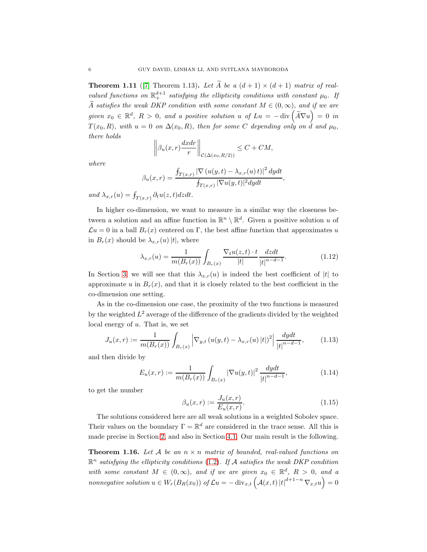**Theorem 1.11** ([\[7\]](#page-35-1) Theorem 1.13). Let  $\widetilde{A}$  be a  $(d+1) \times (d+1)$  matrix of real*valued functions on*  $\mathbb{R}^{d+1}$  *satisfying the ellipticity conditions with constant*  $\mu_0$ *. If*  $\widetilde{A}$  satisfies the weak DKP condition with some constant  $M \in (0, \infty)$ , and if we are  $given \ x_0 \in \mathbb{R}^d, R > 0, \ and \ a \ positive \ solution \ u \ of \ Lu = -\text{div}\left(\widetilde{A}\nabla u\right) = 0 \ in$  $T(x_0, R)$ *, with*  $u = 0$  *on*  $\Delta(x_0, R)$ *, then for some* C *depending only on*  $\hat{d}$  *and*  $\mu_0$ *, there holds*

$$
\left\|\beta_u(x,r)\frac{dxdr}{r}\right\|_{\mathcal{C}(\Delta(x_0,R/2))} \leq C + CM,
$$

*where*

$$
\beta_u(x,r) = \frac{\int_{T(x,r)} |\nabla (u(y,t) - \lambda_{x,r}(u) t)|^2 dydt}{\int_{T(x,r)} |\nabla u(y,t)|^2 dydt},
$$

and  $\lambda_{x,r}(u) = \int_{T(x,r)} \partial_t u(z,t) dz dt$ .

In higher co-dimension, we want to measure in a similar way the closeness between a solution and an affine function in  $\mathbb{R}^n \setminus \mathbb{R}^d$ . Given a positive solution u of  $\mathcal{L}u = 0$  in a ball  $B_r(x)$  centered on Γ, the best affine function that approximates u in  $B_r(x)$  should be  $\lambda_{x,r}(u)$  |t|, where

<span id="page-5-3"></span>
$$
\lambda_{x,r}(u) = \frac{1}{m(B_r(x))} \int_{B_r(x)} \frac{\nabla_t u(z,t) \cdot t}{|t|} \frac{dzdt}{|t|^{n-d-1}}.
$$
\n(1.12)

In Section [3,](#page-11-0) we will see that this  $\lambda_{x,r}(u)$  is indeed the best coefficient of |t| to approximate u in  $B<sub>r</sub>(x)$ , and that it is closely related to the best coefficient in the co-dimension one setting.

As in the co-dimension one case, the proximity of the two functions is measured by the weighted  $L^2$  average of the difference of the gradients divided by the weighted local energy of  $u$ . That is, we set

<span id="page-5-2"></span>
$$
J_u(x,r) := \frac{1}{m(B_r(x))} \int_{B_r(x)} \left| \nabla_{y,t} \left( u(y,t) - \lambda_{x,r}(u) \, |t| \right)^2 \right| \frac{dydt}{|t|^{n-d-1}},\tag{1.13}
$$

and then divide by

$$
E_u(x,r) := \frac{1}{m(B_r(x))} \int_{B_r(x)} |\nabla u(y,t)|^2 \frac{dydt}{|t|^{n-d-1}},
$$
\n(1.14)

to get the number

<span id="page-5-0"></span>
$$
\beta_u(x,r) := \frac{J_u(x,r)}{E_u(x,r)}.\tag{1.15}
$$

The solutions considered here are all weak solutions in a weighted Sobolev space. Their values on the boundary  $\Gamma = \mathbb{R}^d$  are considered in the trace sense. All this is made precise in Section [2,](#page-7-0) and also in Section [4.1.](#page-17-1) Our main result is the following.

<span id="page-5-1"></span>**Theorem 1.16.** Let  $A$  be an  $n \times n$  matrix of bounded, real-valued functions on R <sup>n</sup> *satisfying the ellipticity conditions* [\(1.2\)](#page-2-0)*. If* <sup>A</sup> *satisfies the weak DKP condition*  $with some constant M \in (0, \infty)$ , and if we are given  $x_0 \in \mathbb{R}^d$ ,  $R > 0$ , and a  $\begin{aligned} \textit{nonnegative solution}\ u \in W_r(B_R(x_0))\ \textit{of}\ \mathcal{L} u = -\operatorname{div}_{x,t}\Big(\mathcal{A}(x,t)\,|t|^{d+1-n}\,\nabla_{x,t} u\Big) = 0 \end{aligned}$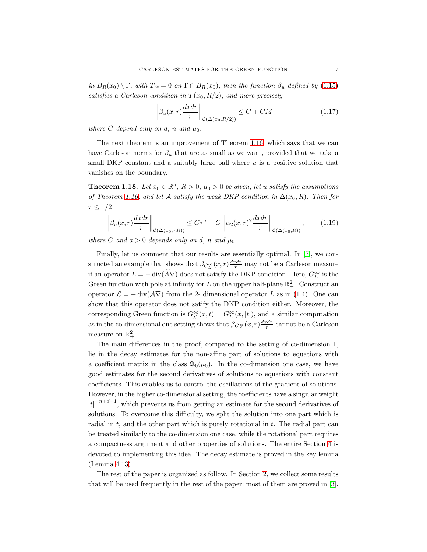*in*  $B_R(x_0) \setminus \Gamma$ *, with*  $Tu = 0$  *on*  $\Gamma \cap B_R(x_0)$ *, then the function*  $\beta_u$  *defined by* [\(1.15\)](#page-5-0) *satisfies a Carleson condition in*  $T(x_0, R/2)$ *, and more precisely* 

$$
\left\| \beta_u(x,r) \frac{dx dr}{r} \right\|_{\mathcal{C}(\Delta(x_0, R/2))} \le C + CM \tag{1.17}
$$

*where* C depend only on d, n and  $\mu_0$ .

The next theorem is an improvement of Theorem [1.16,](#page-5-1) which says that we can have Carleson norms for  $\beta_u$  that are as small as we want, provided that we take a small DKP constant and a suitably large ball where  $u$  is a positive solution that vanishes on the boundary.

<span id="page-6-0"></span>**Theorem 1.18.** Let  $x_0 \in \mathbb{R}^d$ ,  $R > 0$ ,  $\mu_0 > 0$  be given, let u satisfy the assumptions *of Theorem [1.16,](#page-5-1)* and let A satisfy the weak DKP condition in  $\Delta(x_0, R)$ *. Then for*  $\tau \leq 1/2$ 

$$
\left\|\beta_u(x,r)\frac{dxdr}{r}\right\|_{\mathcal{C}(\Delta(x_0,\tau R))} \leq C\tau^a + C\left\|\alpha_2(x,r)^2\frac{dxdr}{r}\right\|_{\mathcal{C}(\Delta(x_0,R))},\tag{1.19}
$$

where C and  $a > 0$  depends only on d, n and  $\mu_0$ .

Finally, let us comment that our results are essentially optimal. In [\[7\]](#page-35-1), we constructed an example that shows that  $\beta_{G_L^{\infty}}(x,r) \frac{dx dr}{r}$  may not be a Carleson measure if an operator  $L = -\operatorname{div}(\overline{A}\nabla)$  does not satisfy the DKP condition. Here,  $G_L^{\infty}$  is the Green function with pole at infinity for L on the upper half-plane  $\mathbb{R}^2_+$ . Construct an operator  $\mathcal{L} = -\text{div}(\mathcal{A}\nabla)$  from the 2- dimensional operator L as in [\(1.4\)](#page-3-0). One can show that this operator does not satify the DKP condition either. Moreover, the corresponding Green function is  $G_{\mathcal{L}}^{\infty}(x,t) = G_{\mathcal{L}}^{\infty}(x,|t|)$ , and a similar computation as in the co-dimensional one setting shows that  $\beta_{G_{\mathcal{L}}^{\infty}}(x,r) \frac{dx dr}{r}$  cannot be a Carleson measure on  $\mathbb{R}^2_+$ .

The main differences in the proof, compared to the setting of co-dimension 1, lie in the decay estimates for the non-affine part of solutions to equations with a coefficient matrix in the class  $\mathfrak{A}_0(\mu_0)$ . In the co-dimension one case, we have good estimates for the second derivatives of solutions to equations with constant coefficients. This enables us to control the oscillations of the gradient of solutions. However, in the higher co-dimensional setting, the coefficients have a singular weight  $|t|^{-n+d+1}$ , which prevents us from getting an estimate for the second derivatives of solutions. To overcome this difficulty, we split the solution into one part which is radial in  $t$ , and the other part which is purely rotational in  $t$ . The radial part can be treated similarly to the co-dimension one case, while the rotational part requires a compactness argument and other properties of solutions. The entire Section [4](#page-17-0) is devoted to implementing this idea. The decay estimate is proved in the key lemma (Lemma [4.13\)](#page-21-0).

The rest of the paper is organized as follow. In Section [2,](#page-7-0) we collect some results that will be used frequently in the rest of the paper; most of them are proved in [\[3\]](#page-35-4).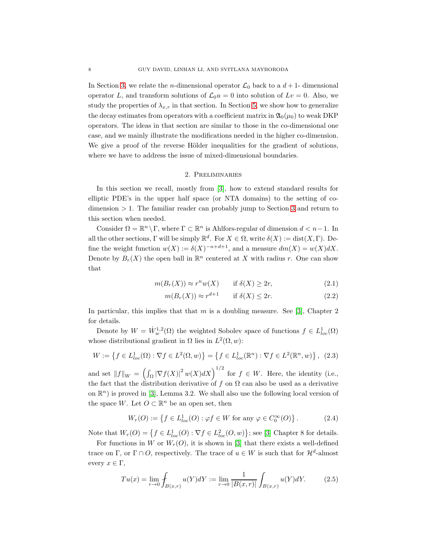In Section [3,](#page-11-0) we relate the *n*-dimensional operator  $\mathcal{L}_0$  back to a  $d+1$ -dimensional operator L, and transform solutions of  $\mathcal{L}_0u = 0$  into solution of  $Lv = 0$ . Also, we study the properties of  $\lambda_{x,r}$  in that section. In Section [5,](#page-25-0) we show how to generalize the decay estimates from operators with a coefficient matrix in  $\mathfrak{A}_0(\mu_0)$  to weak DKP operators. The ideas in that section are similar to those in the co-dimensional one case, and we mainly illustrate the modifications needed in the higher co-dimension. We give a proof of the reverse Hölder inequalities for the gradient of solutions, where we have to address the issue of mixed-dimensional boundaries.

### 2. Preliminaries

<span id="page-7-0"></span>In this section we recall, mostly from [\[3\]](#page-35-4), how to extend standard results for elliptic PDE's in the upper half space (or NTA domains) to the setting of codimension > 1. The familiar reader can probably jump to Section [3](#page-11-0) and return to this section when needed.

Consider  $\Omega = \mathbb{R}^n \setminus \Gamma$ , where  $\Gamma \subset \mathbb{R}^n$  is Ahlfors-regular of dimension  $d < n-1$ . In all the other sections,  $\Gamma$  will be simply  $\mathbb{R}^d$ . For  $X \in \Omega$ , write  $\delta(X) := \text{dist}(X, \Gamma)$ . Define the weight function  $w(X) := \delta(X)^{-n+d+1}$ , and a measure  $dm(X) = w(X)dX$ . Denote by  $B_r(X)$  the open ball in  $\mathbb{R}^n$  centered at X with radius r. One can show that

$$
m(B_r(X)) \approx r^n w(X) \qquad \text{if } \delta(X) \ge 2r,\tag{2.1}
$$

<span id="page-7-3"></span>
$$
m(B_r(X)) \approx r^{d+1} \qquad \text{if } \delta(X) \le 2r. \tag{2.2}
$$

In particular, this implies that that  $m$  is a doubling measure. See [\[3\]](#page-35-4), Chapter 2 for details.

Denote by  $W = \dot{W}_w^{1,2}(\Omega)$  the weighted Sobolev space of functions  $f \in L^1_{loc}(\Omega)$ whose distributional gradient in  $\Omega$  lies in  $L^2(\Omega, w)$ :

$$
W := \left\{ f \in L_{loc}^1(\Omega) : \nabla f \in L^2(\Omega, w) \right\} = \left\{ f \in L_{loc}^1(\mathbb{R}^n) : \nabla f \in L^2(\mathbb{R}^n, w) \right\}, \tag{2.3}
$$

and set  $||f||_W = \left(\int_{\Omega} |\nabla f(X)|^2 w(X)dX\right)^{1/2}$  for  $f \in W$ . Here, the identity (i.e., the fact that the distribution derivative of f on  $\Omega$  can also be used as a derivative on  $\mathbb{R}^n$ ) is proved in [\[3\]](#page-35-4), Lemma 3.2. We shall also use the following local version of the space W. Let  $O \subset \mathbb{R}^n$  be an open set, then

<span id="page-7-1"></span>
$$
W_r(O) := \left\{ f \in L^1_{loc}(O) : \varphi f \in W \text{ for any } \varphi \in C_0^{\infty}(O) \right\}. \tag{2.4}
$$

Note that  $W_r(O) = \{ f \in L^1_{loc}(O) : \nabla f \in L^2_{loc}(O, w) \};$  see [\[3\]](#page-35-4) Chapter 8 for details.

For functions in W or  $W_r(O)$ , it is shown in [\[3\]](#page-35-4) that there exists a well-defined trace on  $\Gamma$ , or  $\Gamma \cap O$ , respectively. The trace of  $u \in W$  is such that for  $\mathcal{H}^d$ -almost every  $x \in \Gamma$ ,

<span id="page-7-2"></span>
$$
Tu(x) = \lim_{r \to 0} \int_{B(x,r)} u(Y)dY := \lim_{r \to 0} \frac{1}{|B(x,r)|} \int_{B(x,r)} u(Y)dY.
$$
 (2.5)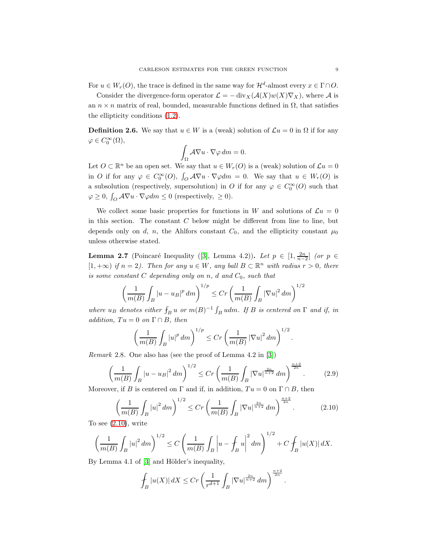For  $u \in W_r(O)$ , the trace is defined in the same way for  $\mathcal{H}^d$ -almost every  $x \in \Gamma \cap O$ .

Consider the divergence-form operator  $\mathcal{L} = -\operatorname{div}_X(\mathcal{A}(X)w(X)\nabla_X)$ , where A is an  $n \times n$  matrix of real, bounded, measurable functions defined in  $\Omega$ , that satisfies the ellipticity conditions [\(1.2\)](#page-2-0).

**Definition 2.6.** We say that  $u \in W$  is a (weak) solution of  $\mathcal{L}u = 0$  in  $\Omega$  if for any  $\varphi \in C_0^{\infty}(\Omega),$ 

$$
\int_{\Omega} \mathcal{A} \nabla u \cdot \nabla \varphi \, dm = 0.
$$

Let  $O \subset \mathbb{R}^n$  be an open set. We say that  $u \in W_r(O)$  is a (weak) solution of  $\mathcal{L}u = 0$ in O if for any  $\varphi \in C_0^{\infty}(O)$ ,  $\int_O A \nabla u \cdot \nabla \varphi dm = 0$ . We say that  $u \in W_r(O)$  is a subsolution (respectively, supersolution) in O if for any  $\varphi \in C_0^{\infty}(O)$  such that  $\varphi \geq 0$ ,  $\int_{O} A \nabla u \cdot \nabla \varphi dm \leq 0$  (respectively,  $\geq 0$ ).

We collect some basic properties for functions in W and solutions of  $\mathcal{L}u = 0$ in this section. The constant  $C$  below might be different from line to line, but depends only on d, n, the Ahlfors constant  $C_0$ , and the ellipticity constant  $\mu_0$ unless otherwise stated.

<span id="page-8-2"></span>**Lemma2.7** (Poincaré Inequality ([\[3\]](#page-35-4), Lemma 4.2)). Let  $p \in \left[1, \frac{2n}{n-2}\right]$  (or  $p \in$  $[1, +\infty)$  *if*  $n = 2$ *). Then for any*  $u \in W$ *, any ball*  $B \subset \mathbb{R}^n$  *with radius*  $r > 0$ *, there is some constant* C *depending only on* n, d and  $C_0$ , such that

$$
\left(\frac{1}{m(B)}\int_B |u - u_B|^p dm\right)^{1/p} \le Cr\left(\frac{1}{m(B)}\int_B |\nabla u|^2 dm\right)^{1/2}
$$

where  $u_B$  denotes either  $f_B u$  or  $m(B)^{-1} \int_B u dm$ . If B is centered on  $\Gamma$  and if, in  $addition, Tu = 0 on \Gamma \cap B, then$ 

$$
\left(\frac{1}{m(B)}\int_B |u|^p dm\right)^{1/p} \le Cr\left(\frac{1}{m(B)}|\nabla u|^2 dm\right)^{1/2}.
$$

*Remark* 2.8*.* One also has (see the proof of Lemma 4.2 in [\[3\]](#page-35-4))

<span id="page-8-1"></span>
$$
\left(\frac{1}{m(B)}\int_{B} |u - u_{B}|^{2} dm\right)^{1/2} \le Cr\left(\frac{1}{m(B)}\int_{B} |\nabla u|^{\frac{2n}{n+2}} dm\right)^{\frac{n+2}{2n}}.
$$
 (2.9)

Moreover, if B is centered on  $\Gamma$  and if, in addition,  $Tu = 0$  on  $\Gamma \cap B$ , then

<span id="page-8-0"></span>
$$
\left(\frac{1}{m(B)}\int_{B} |u|^{2} dm\right)^{1/2} \le Cr\left(\frac{1}{m(B)}\int_{B} |\nabla u|^{\frac{2n}{n+2}} dm\right)^{\frac{n+2}{2n}}.
$$
\n(2.10)

To see  $(2.10)$ , write

$$
\left(\frac{1}{m(B)}\int_B |u|^2 \, dm\right)^{1/2} \le C\left(\frac{1}{m(B)}\int_B \left|u - \int_B u\right|^2 \, dm\right)^{1/2} + C\int_B |u(X)| \, dX.
$$

By Lemma  $4.1$  of  $[3]$  and Hölder's inequality,

$$
\int_{B} |u(X)| dX \le Cr \left(\frac{1}{r^{d+1}} \int_{B} |\nabla u|^{\frac{2n}{n+2}} dm\right)^{\frac{n+2}{2n}}.
$$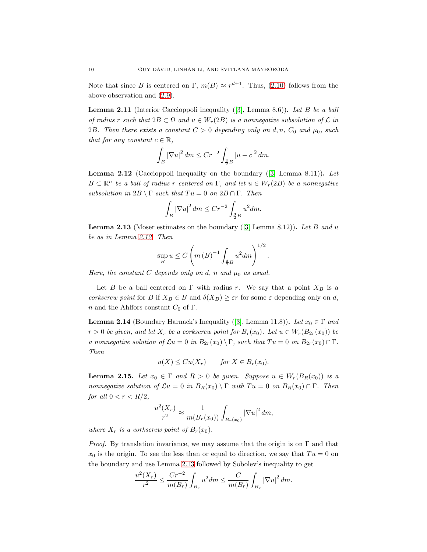Note that since B is centered on  $\Gamma$ ,  $m(B) \approx r^{d+1}$ . Thus, [\(2.10\)](#page-8-0) follows from the above observation and [\(2.9\)](#page-8-1).

Lemma 2.11 (Interior Caccioppoli inequality([\[3\]](#page-35-4), Lemma 8.6)). *Let* B *be a ball of radius* r *such that*  $2B \subset \Omega$  *and*  $u \in W_r(2B)$  *is a nonnegative subsolution of*  $\mathcal L$  *in* 2B. Then there exists a constant  $C > 0$  depending only on d, n,  $C_0$  and  $\mu_0$ *, such that for any constant*  $c \in \mathbb{R}$ ,

$$
\int_{B} |\nabla u|^2 dm \le Cr^{-2} \int_{\frac{3}{2}B} |u - c|^2 dm.
$$

<span id="page-9-0"></span>Lemma 2.12 (Caccioppoli inequality on the boundary([\[3\]](#page-35-4) Lemma 8.11)). *Let*  $B \subset \mathbb{R}^n$  *be a ball of radius* r *centered on*  $\Gamma$ *, and let*  $u \in W_r(2B)$  *be a nonnegative subsolution in*  $2B \setminus \Gamma$  *such that*  $Tu = 0$  *on*  $2B \cap \Gamma$ *. Then* 

$$
\int_B |\nabla u|^2 dm \le Cr^{-2} \int_{\frac{3}{2}B} u^2 dm.
$$

<span id="page-9-1"></span>Lemma 2.13 (Moser estimates on the boundary([\[3\]](#page-35-4) Lemma 8.12)). *Let* B *and* u *be as in Lemma [2.12.](#page-9-0) Then*

$$
\sup_{B} u \le C \left( m (B)^{-1} \int_{\frac{3}{2}B} u^2 dm \right)^{1/2}
$$

.

*Here, the constant*  $C$  *depends only on*  $d$ *, n and*  $\mu_0$  *as usual.* 

Let B be a ball centered on  $\Gamma$  with radius r. We say that a point  $X_B$  is a *corkscrew point* for B if  $X_B \in B$  and  $\delta(X_B) \geq \varepsilon r$  for some  $\varepsilon$  depending only on d, n and the Ahlfors constant  $C_0$  of Γ.

**Lemma2.14** (Boundary Harnack's Inequality ([\[3\]](#page-35-4), Lemma 11.8)). Let  $x_0 \in \Gamma$  and  $r > 0$  *be given, and let*  $X_r$  *be a corkscrew point for*  $B_r(x_0)$ *. Let*  $u \in W_r(B_{2r}(x_0))$  *be a nonnegative solution of*  $\mathcal{L}u = 0$  *in*  $B_{2r}(x_0) \setminus \Gamma$ *, such that*  $Tu = 0$  *on*  $B_{2r}(x_0) \cap \Gamma$ *. Then*

$$
u(X) \leq Cu(X_r) \qquad \text{for } X \in B_r(x_0).
$$

<span id="page-9-2"></span>**Lemma 2.15.** *Let*  $x_0 \in \Gamma$  *and*  $R > 0$  *be given. Suppose*  $u \in W_r(B_R(x_0))$  *is a nonnegative solution of*  $\mathcal{L}u = 0$  *in*  $B_R(x_0) \setminus \Gamma$  *with*  $Tu = 0$  *on*  $B_R(x_0) \cap \Gamma$ *. Then for all*  $0 < r < R/2$ *,* 

$$
\frac{u^2(X_r)}{r^2} \approx \frac{1}{m(B_r(x_0))} \int_{B_r(x_0)} |\nabla u|^2 dm,
$$

*where*  $X_r$  *is a corkscrew point of*  $B_r(x_0)$ *.* 

*Proof.* By translation invariance, we may assume that the origin is on  $\Gamma$  and that  $x_0$  is the origin. To see the less than or equal to direction, we say that  $Tu = 0$  on the boundary and use Lemma [2.13](#page-9-1) followed by Sobolev's inequality to get

$$
\frac{u^{2}(X_{r})}{r^{2}} \leq \frac{Cr^{-2}}{m(B_{r})} \int_{B_{r}} u^{2} dm \leq \frac{C}{m(B_{r})} \int_{B_{r}} |\nabla u|^{2} dm.
$$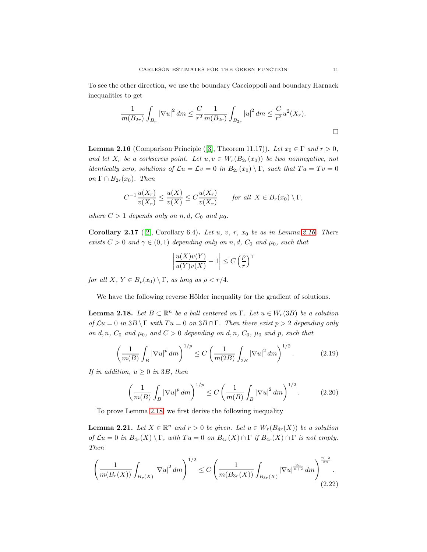To see the other direction, we use the boundary Caccioppoli and boundary Harnack inequalities to get

$$
\frac{1}{m(B_{2r})} \int_{B_r} |\nabla u|^2 dm \leq \frac{C}{r^2} \frac{1}{m(B_{2r})} \int_{B_{2r}} |u|^2 dm \leq \frac{C}{r^2} u^2(X_r).
$$

<span id="page-10-0"></span>**Lemma2.16** (Comparison Principle ([\[3\]](#page-35-4), Theorem 11.17)). *Let*  $x_0 \in \Gamma$  and  $r > 0$ , and let  $X_r$  be a corkscrew point. Let  $u, v \in W_r(B_{2r}(x_0))$  be two nonnegative, not *identically zero, solutions of*  $\mathcal{L}u = \mathcal{L}v = 0$  *in*  $B_{2r}(x_0) \setminus \Gamma$ *, such that*  $Tu = Tv = 0$ *on*  $\Gamma \cap B_{2r}(x_0)$ *. Then* 

$$
C^{-1}\frac{u(X_r)}{v(X_r)} \le \frac{u(X)}{v(X)} \le C\frac{u(X_r)}{v(X_r)} \qquad \text{for all } X \in B_r(x_0) \setminus \Gamma,
$$

where  $C > 1$  depends only on n, d,  $C_0$  and  $\mu_0$ .

<span id="page-10-6"></span>Corollary 2.17 ([\[2\]](#page-35-6), Corollary 6.4). *Let* u*,* v*,* r*,* x<sup>0</sup> *be as in Lemma [2.16.](#page-10-0) There exists*  $C > 0$  *and*  $\gamma \in (0, 1)$  *depending only on* n, d,  $C_0$  *and*  $\mu_0$ *, such that* 

$$
\left|\frac{u(X)v(Y)}{u(Y)v(X)}-1\right|\leq C\left(\frac{\rho}{r}\right)^{\gamma}
$$

*for all*  $X, Y \in B_o(x_0) \setminus \Gamma$ *, as long as*  $\rho < r/4$ *.* 

We have the following reverse Hölder inequality for the gradient of solutions.

<span id="page-10-1"></span>**Lemma 2.18.** *Let*  $B \subset \mathbb{R}^n$  *be a ball centered on*  $\Gamma$ *. Let*  $u \in W_r(3B)$  *be a solution of*  $\mathcal{L}u = 0$  *in*  $3B \setminus \Gamma$  *with*  $Tu = 0$  *on*  $3B \cap \Gamma$ *. Then there exist*  $p > 2$  *depending only on*  $d, n, C_0$  *and*  $\mu_0$ *, and*  $C > 0$  *depending on*  $d, n, C_0$ *,*  $\mu_0$  *and*  $p$ *, such that* 

<span id="page-10-3"></span>
$$
\left(\frac{1}{m(B)}\int_{B} |\nabla u|^{p} dm\right)^{1/p} \le C\left(\frac{1}{m(2B)}\int_{2B} |\nabla u|^{2} dm\right)^{1/2}.
$$
 (2.19)

*If in addition,*  $u \geq 0$  *in* 3*B, then* 

<span id="page-10-5"></span>
$$
\left(\frac{1}{m(B)}\int_B |\nabla u|^p dm\right)^{1/p} \le C\left(\frac{1}{m(B)}\int_B |\nabla u|^2 dm\right)^{1/2}.
$$
 (2.20)

To prove Lemma [2.18,](#page-10-1) we first derive the following inequality

<span id="page-10-4"></span>**Lemma 2.21.** Let  $X \in \mathbb{R}^n$  and  $r > 0$  be given. Let  $u \in W_r(B_{4r}(X))$  be a solution *of*  $\mathcal{L}u = 0$  *in*  $B_{4r}(X) \setminus \Gamma$ *, with*  $Tu = 0$  *on*  $B_{4r}(X) \cap \Gamma$  *if*  $B_{4r}(X) \cap \Gamma$  *is not empty. Then*

<span id="page-10-2"></span>
$$
\left(\frac{1}{m(B_r(X))}\int_{B_r(X)}|\nabla u|^2\,dm\right)^{1/2}\leq C\left(\frac{1}{m(B_{3r}(X))}\int_{B_{3r}(X)}|\nabla u|^{\frac{2n}{n+2}}\,dm\right)^{\frac{n+2}{2n}}.\tag{2.22}
$$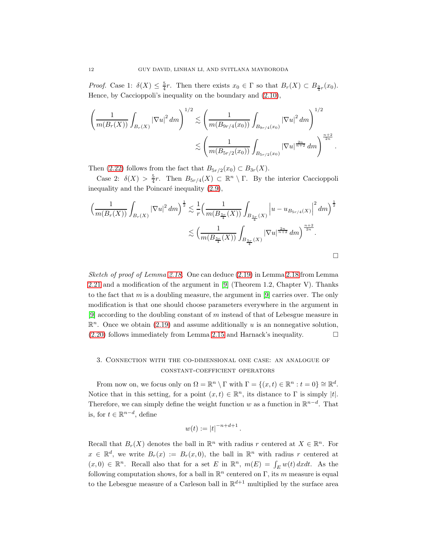*Proof.* Case 1:  $\delta(X) \leq \frac{5}{4}r$ . Then there exists  $x_0 \in \Gamma$  so that  $B_r(X) \subset B_{\frac{9}{4}r}(x_0)$ . Hence, by Caccioppoli's inequality on the boundary and [\(2.10\)](#page-8-0),

$$
\left(\frac{1}{m(B_r(X))}\int_{B_r(X)}|\nabla u|^2\,dm\right)^{1/2} \lesssim \left(\frac{1}{m(B_{9r/4}(x_0))}\int_{B_{9r/4}(x_0)}|\nabla u|^2\,dm\right)^{1/2}
$$

$$
\lesssim \left(\frac{1}{m(B_{5r/2}(x_0))}\int_{B_{5r/2}(x_0)}|\nabla u|^{\frac{2n}{n+2}}\,dm\right)^{\frac{n+2}{2n}}.
$$

Then [\(2.22\)](#page-10-2) follows from the fact that  $B_{5r/2}(x_0) \subset B_{3r}(X)$ .

Case 2:  $\delta(X) > \frac{5}{4}r$ . Then  $B_{5r/4}(X) \subset \mathbb{R}^n \setminus \Gamma$ . By the interior Caccioppoli inequality and the Poincaré inequality  $(2.9)$ ,

$$
\left(\frac{1}{m(B_r(X))}\int_{B_r(X)}|\nabla u|^2 dm\right)^{\frac{1}{2}} \lesssim \frac{1}{r} \left(\frac{1}{m(B_{\frac{5r}{4}}(X))}\int_{B_{\frac{5r}{4}}(X)}\left|u-u_{B_{5r/4}(X)}\right|^2 dm\right)^{\frac{1}{2}}
$$
  

$$
\lesssim \left(\frac{1}{m(B_{\frac{5r}{4}}(X))}\int_{B_{\frac{5r}{4}}(X)}|\nabla u|^{\frac{2n}{n+2}} dm\right)^{\frac{n+2}{2n}}.
$$

*Sketch of proof of Lemma [2.18.](#page-10-1)* One can deduce [\(2.19\)](#page-10-3) in Lemma [2.18](#page-10-1) from Lemma [2.21](#page-10-4) and a modification of the argument in [\[9\]](#page-36-5) (Theorem 1.2, Chapter V). Thanks to the fact that  $m$  is a doubling measure, the argument in  $[9]$  carries over. The only modification is that one should choose parameters everywhere in the argument in [\[9\]](#page-36-5) according to the doubling constant of m instead of that of Lebesgue measure in  $\mathbb{R}^n$ . Once we obtain [\(2.19\)](#page-10-3) and assume additionally u is an nonnegative solution,  $(2.20)$  follows immediately from Lemma [2.15](#page-9-2) and Harnack's inequality.

# <span id="page-11-0"></span>3. Connection with the co-dimensional one case: an analogue of constant-coefficient operators

From now on, we focus only on  $\Omega = \mathbb{R}^n \setminus \Gamma$  with  $\Gamma = \{(x, t) \in \mathbb{R}^n : t = 0\} \cong \mathbb{R}^d$ . Notice that in this setting, for a point  $(x, t) \in \mathbb{R}^n$ , its distance to  $\Gamma$  is simply |t|. Therefore, we can simply define the weight function w as a function in  $\mathbb{R}^{n-d}$ . That is, for  $t \in \mathbb{R}^{n-d}$ , define

$$
w(t) := |t|^{-n+d+1}.
$$

Recall that  $B_r(X)$  denotes the ball in  $\mathbb{R}^n$  with radius r centered at  $X \in \mathbb{R}^n$ . For  $x \in \mathbb{R}^d$ , we write  $B_r(x) := B_r(x,0)$ , the ball in  $\mathbb{R}^n$  with radius r centered at  $(x, 0) \in \mathbb{R}^n$ . Recall also that for a set E in  $\mathbb{R}^n$ ,  $m(E) = \int_E w(t) dx dt$ . As the following computation shows, for a ball in  $\mathbb{R}^n$  centered on  $\Gamma$ , its m measure is equal to the Lebesgue measure of a Carleson ball in  $\mathbb{R}^{d+1}$  multiplied by the surface area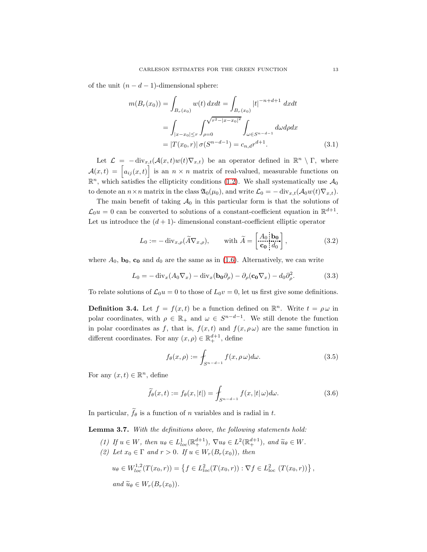of the unit  $(n - d - 1)$ -dimensional sphere:

<span id="page-12-5"></span>
$$
m(B_r(x_0)) = \int_{B_r(x_0)} w(t) dx dt = \int_{B_r(x_0)} |t|^{-n+d+1} dx dt
$$
  
= 
$$
\int_{|x-x_0| \le r} \int_{\rho=0}^{\sqrt{r^2 - |x-x_0|^2}} \int_{\omega \in S^{n-d-1}} d\omega d\rho dx
$$
  
= 
$$
|T(x_0, r)| \sigma(S^{n-d-1}) = c_{n,d} r^{d+1}.
$$
 (3.1)

Let  $\mathcal{L} = -\text{div}_{x,t}(\mathcal{A}(x,t)w(t)\nabla_{x,t})$  be an operator defined in  $\mathbb{R}^n \setminus \Gamma$ , where  $\mathcal{A}(x,t) = \begin{bmatrix} a_{ij}(x,t) \end{bmatrix}$  is an  $n \times n$  matrix of real-valued, measurable functions on  $\mathbb{R}^n$ , which satisfies the ellipticity conditions [\(1.2\)](#page-2-0). We shall systematically use  $\mathcal{A}_0$ to denote an  $n \times n$  matrix in the class  $\mathfrak{A}_0(\mu_0)$ , and write  $\mathcal{L}_0 = -\operatorname{div}_{x,t}(\mathcal{A}_0 w(t)\nabla_{x,t})$ .

The main benefit of taking  $A_0$  in this particular form is that the solutions of  $\mathcal{L}_0 u = 0$  can be converted to solutions of a constant-coefficient equation in  $\mathbb{R}^{d+1}$ . Let us introduce the  $(d + 1)$ - dimensional constant-coefficient elliptic operator

<span id="page-12-3"></span>
$$
L_0 := -\operatorname{div}_{x,\rho}(\widetilde{A}\nabla_{x,\rho}), \quad \text{with } \widetilde{A} = \begin{bmatrix} A_0 \\ \mathbf{c}_0 \end{bmatrix}, \tag{3.2}
$$

where  $A_0$ ,  $\mathbf{b_0}$ ,  $\mathbf{c_0}$  and  $d_0$  are the same as in [\(1.6\)](#page-3-1). Alternatively, we can write

<span id="page-12-0"></span>
$$
L_0 = -\operatorname{div}_x(A_0 \nabla_x) - \operatorname{div}_x(\mathbf{b_0} \partial_\rho) - \partial_\rho(\mathbf{c_0} \nabla_x) - d_0 \partial_\rho^2.
$$
 (3.3)

To relate solutions of  $\mathcal{L}_0u = 0$  to those of  $L_0v = 0$ , let us first give some definitions.

<span id="page-12-2"></span>**Definition 3.4.** Let  $f = f(x,t)$  be a function defined on  $\mathbb{R}^n$ . Write  $t = \rho \omega$  in polar coordinates, with  $\rho \in \mathbb{R}_+$  and  $\omega \in S^{n-d-1}$ . We still denote the function in polar coordinates as f, that is,  $f(x, t)$  and  $f(x, \rho \omega)$  are the same function in different coordinates. For any  $(x, \rho) \in \mathbb{R}^{d+1}_+$ , define

$$
f_{\theta}(x,\rho) := \int_{S^{n-d-1}} f(x,\rho \,\omega) d\omega.
$$
 (3.5)

For any  $(x,t) \in \mathbb{R}^n$ , define

<span id="page-12-4"></span>
$$
\widetilde{f}_{\theta}(x,t) := f_{\theta}(x,|t|) = \int_{S^{n-d-1}} f(x,|t| \omega) d\omega.
$$
\n(3.6)

In particular,  $f_{\theta}$  is a function of n variables and is radial in t.

<span id="page-12-1"></span>Lemma 3.7. *With the definitions above, the following statements hold:*

*(1) If*  $u \in W$ *, then*  $u_{\theta} \in L^{1}_{loc}(\mathbb{R}^{d+1}_{+})$ *,*  $\nabla u_{\theta} \in L^{2}(\mathbb{R}^{d+1}_{+})$ *, and*  $\widetilde{u}_{\theta} \in W$ *.* (2) Let  $x_0 \in \Gamma$  and  $r > 0$ . If  $u \in W_r(B_r(x_0))$ , then  $u_{\theta} \in W_{loc}^{1,2}(T(x_0,r)) = \left\{ f \in L_{loc}^2(T(x_0,r)) : \nabla f \in L_{loc}^2(T(x_0,r)) \right\},\$ 

and 
$$
\widetilde{u}_{\theta} \in W_r(B_r(x_0)).
$$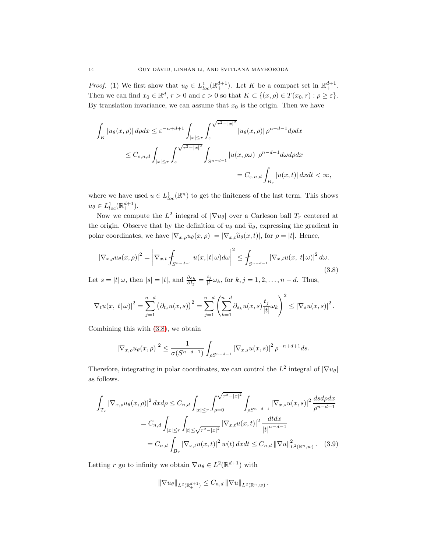*Proof.* (1) We first show that  $u_{\theta} \in L_{loc}^1(\mathbb{R}^{d+1}_+)$ . Let K be a compact set in  $\mathbb{R}^{d+1}_+$ . Then we can find  $x_0 \in \mathbb{R}^d$ ,  $r > 0$  and  $\varepsilon > 0$  so that  $K \subset \{(x,\rho) \in T(x_0,r) : \rho \geq \varepsilon\}.$ By translation invariance, we can assume that  $x_0$  is the origin. Then we have

$$
\int_{K} |u_{\theta}(x,\rho)| d\rho dx \leq \varepsilon^{-n+d+1} \int_{|x| \leq r} \int_{\varepsilon}^{\sqrt{r^{2}-|x|^{2}}} |u_{\theta}(x,\rho)| \rho^{n-d-1} d\rho dx
$$
  

$$
\leq C_{\varepsilon,n,d} \int_{|x| \leq r} \int_{\varepsilon}^{\sqrt{r^{2}-|x|^{2}}} \int_{S^{n-d-1}} |u(x,\rho\omega)| \rho^{n-d-1} d\omega d\rho dx
$$
  

$$
= C_{\varepsilon,n,d} \int_{B_{r}} |u(x,t)| dx dt < \infty,
$$

where we have used  $u \in L^1_{loc}(\mathbb{R}^n)$  to get the finiteness of the last term. This shows  $u_{\theta} \in L_{loc}^1(\mathbb{R}^{d+1}_+).$ 

Now we compute the  $L^2$  integral of  $|\nabla u_{\theta}|$  over a Carleson ball  $T_r$  centered at the origin. Observe that by the definition of  $u_{\theta}$  and  $\tilde{u}_{\theta}$ , expressing the gradient in polar coordinates, we have  $|\nabla_{x,\rho}u_{\theta}(x,\rho)| = |\nabla_{x,t}\tilde{u}_{\theta}(x,t)|$ , for  $\rho = |t|$ . Hence,

<span id="page-13-0"></span>
$$
|\nabla_{x,\rho} u_{\theta}(x,\rho)|^2 = \left|\nabla_{x,t} \int_{S^{n-d-1}} u(x,|t|\,\omega) d\omega\right|^2 \le \int_{S^{n-d-1}} |\nabla_{x,t} u(x,|t|\,\omega)|^2 d\omega.
$$
\n(3.8)

Let  $s = |t| \omega$ , then  $|s| = |t|$ , and  $\frac{\partial s_k}{\partial t_j} = \frac{t_j}{|t|}$  $\frac{v_j}{|t|} \omega_k$ , for  $k, j = 1, 2, \ldots, n - d$ . Thus,

$$
\left|\nabla_t u(x,|t|\,\omega)\right|^2 = \sum_{j=1}^{n-d} \left(\partial_{t_j} u(x,s)\right)^2 = \sum_{j=1}^{n-d} \left(\sum_{k=1}^{n-d} \partial_{s_k} u(x,s) \frac{t_j}{|t|} \omega_k\right)^2 \leq \left|\nabla_s u(x,s)\right|^2.
$$

Combining this with [\(3.8\)](#page-13-0), we obtain

$$
\left|\nabla_{x,\rho} u_{\theta}(x,\rho)\right|^{2} \leq \frac{1}{\sigma(S^{n-d-1})} \int_{\rho S^{n-d-1}} \left|\nabla_{x,s} u(x,s)\right|^{2} \rho^{-n+d+1} ds.
$$

Therefore, integrating in polar coordinates, we can control the  $L^2$  integral of  $|\nabla u_\theta|$ as follows.

$$
\int_{T_r} |\nabla_{x,\rho} u_{\theta}(x,\rho)|^2 dx d\rho \leq C_{n,d} \int_{|x| \leq r} \int_{\rho=0}^{\sqrt{r^2 - |x|^2}} \int_{\rho S^{n-d-1}} |\nabla_{x,s} u(x,s)|^2 \frac{dsd\rho dx}{\rho^{n-d-1}}
$$

$$
= C_{n,d} \int_{|x| \leq r} \int_{|t| \leq \sqrt{r^2 - |x|^2}} |\nabla_{x,t} u(x,t)|^2 \frac{dt dx}{|t|^{n-d-1}}
$$

$$
= C_{n,d} \int_{B_r} |\nabla_{x,t} u(x,t)|^2 w(t) dx dt \leq C_{n,d} ||\nabla u||_{L^2(\mathbb{R}^n, w)}^2. \quad (3.9)
$$

Letting r go to infinity we obtain  $\nabla u_{\theta} \in L^2(\mathbb{R}^{d+1})$  with

<span id="page-13-1"></span>
$$
\|\nabla u_{\theta}\|_{L^2(\mathbb{R}^{d+1}_+)} \leq C_{n,d} \|\nabla u\|_{L^2(\mathbb{R}^n, w)}.
$$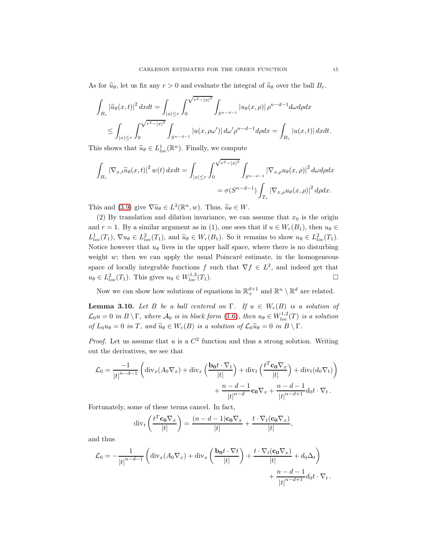As for  $\tilde{u}_{\theta}$ , let us fix any  $r > 0$  and evaluate the integral of  $\tilde{u}_{\theta}$  over the ball  $B_r$ .

$$
\int_{B_r} \left| \tilde{u}_{\theta}(x,t) \right|^2 dxdt = \int_{|x| \le r} \int_0^{\sqrt{r^2 - |x|^2}} \int_{S^{n-d-1}} |u_{\theta}(x,\rho)| \, \rho^{n-d-1} d\omega d\rho dx
$$
\n
$$
\le \int_{|x| \le r} \int_0^{\sqrt{r^2 - |x|^2}} \int_{S^{n-d-1}} |u(x,\rho\omega')| \, d\omega' \rho^{n-d-1} d\rho dx = \int_{B_r} |u(x,t)| \, dxdt.
$$

This shows that  $\widetilde{u}_{\theta} \in L^1_{loc}(\mathbb{R}^n)$ . Finally, we compute

$$
\int_{B_r} \left| \nabla_{x,t} \widetilde{u}_{\theta}(x,t) \right|^2 w(t) dx dt = \int_{|x| \le r} \int_0^{\sqrt{r^2 - |x|^2}} \int_{S^{n-d-1}} \left| \nabla_{x,\rho} u_{\theta}(x,\rho) \right|^2 d\omega d\rho dx
$$

$$
= \sigma(S^{n-d-1}) \int_{T_r} \left| \nabla_{x,\rho} u_{\theta}(x,\rho) \right|^2 d\rho dx.
$$

This and [\(3.9\)](#page-13-1) give  $\nabla \widetilde{u}_{\theta} \in L^2(\mathbb{R}^n, w)$ . Thus,  $\widetilde{u}_{\theta} \in W$ .

(2) By translation and dilation invariance, we can assume that  $x_0$  is the origin and r = 1. By a similar argument as in (1), one sees that if  $u \in W_r(B_1)$ , then  $u_\theta \in$  $L^1_{loc}(T_1)$ ,  $\nabla u_\theta \in L^2_{loc}(T_1)$ , and  $\widetilde{u}_\theta \in W_r(B_1)$ . So it remains to show  $u_\theta \in L^2_{loc}(T_1)$ . Notice however that  $u_{\theta}$  lives in the upper half space, where there is no disturbing weight  $w$ ; then we can apply the usual Poincaré estimate, in the homogeneous space of locally integrable functions f such that  $\nabla f \in L^2$ , and indeed get that  $u_{\theta} \in L^2_{loc}(T_1)$ . This gives  $u_{\theta} \in W^{1,2}_{loc}(T_1)$ .

Now we can show how solutions of equations in  $\mathbb{R}^{d+1}_+$  and  $\mathbb{R}^n \setminus \mathbb{R}^d$  are related.

<span id="page-14-0"></span>**Lemma 3.10.** *Let* B *be a ball centered on* Γ. If  $u \in W_r(B)$  *is a solution of*  $\mathcal{L}_0 u = 0$  in  $B \setminus \Gamma$ , where  $\mathcal{A}_0$  is in block form [\(1.6\)](#page-3-1), then  $u_{\theta} \in W^{1,2}_{loc}(T)$  is a solution *of*  $L_0 u_\theta = 0$  *in*  $T$ *, and*  $\widetilde{u}_\theta \in W_r(B)$  *is a solution of*  $\mathcal{L}_0 \widetilde{u}_\theta = 0$  *in*  $B \setminus \Gamma$ *.* 

*Proof.* Let us assume that u is a  $C^2$  function and thus a strong solution. Writing out the derivatives, we see that

$$
\mathcal{L}_0 = \frac{-1}{|t|^{n-d-1}} \left( \operatorname{div}_x (A_0 \nabla_x) + \operatorname{div}_x \left( \frac{\mathbf{b_0} t \cdot \nabla_t}{|t|} \right) + \operatorname{div}_t \left( \frac{t^T \mathbf{c_0} \nabla_x}{|t|} \right) + \operatorname{div}_t (d_0 \nabla_t) \right) + \frac{n-d-1}{|t|^{n-d}} \mathbf{c_0} \nabla_x + \frac{n-d-1}{|t|^{n-d+1}} d_0 t \cdot \nabla_t.
$$

Fortunately, some of these terms cancel. In fact,

$$
\operatorname{div}_t \left( \frac{t^T \mathbf{c_0} \nabla_x}{|t|} \right) = \frac{(n-d-1)\mathbf{c_0} \nabla_x}{|t|} + \frac{t \cdot \nabla_t (\mathbf{c_0} \nabla_x)}{|t|},
$$

and thus

$$
\mathcal{L}_0 = -\frac{1}{|t|^{n-d-1}} \left( \text{div}_x (A_0 \nabla_x) + \text{div}_x \left( \frac{\mathbf{b_0} t \cdot \nabla t}{|t|} \right) + \frac{t \cdot \nabla_t (\mathbf{c_0} \nabla_x)}{|t|} + d_0 \Delta_t \right) + \frac{n-d-1}{|t|^{n-d+1}} d_0 t \cdot \nabla_t.
$$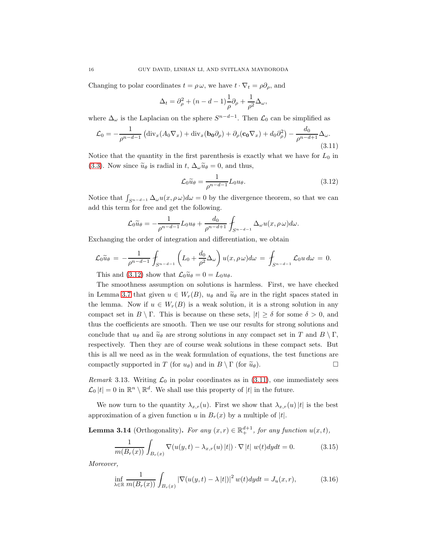Changing to polar coordinates  $t = \rho \omega$ , we have  $t \cdot \nabla_t = \rho \partial_\rho$ , and

$$
\Delta_t = \partial_{\rho}^2 + (n - d - 1) \frac{1}{\rho} \partial_{\rho} + \frac{1}{\rho^2} \Delta_{\omega},
$$

where  $\Delta_{\omega}$  is the Laplacian on the sphere  $S^{n-d-1}$ . Then  $\mathcal{L}_0$  can be simplified as

<span id="page-15-1"></span>
$$
\mathcal{L}_0 = -\frac{1}{\rho^{n-d-1}} \left( \mathrm{div}_x (A_0 \nabla_x) + \mathrm{div}_x (\mathbf{b}_0 \partial_\rho) + \partial_\rho (\mathbf{c}_0 \nabla_x) + d_0 \partial_\rho^2 \right) - \frac{d_0}{\rho^{n-d+1}} \Delta_\omega.
$$
\n(3.11)

Notice that the quantity in the first parenthesis is exactly what we have for  $L_0$  in [\(3.3\)](#page-12-0). Now since  $\tilde{u}_{\theta}$  is radial in t,  $\Delta_{\omega}\tilde{u}_{\theta} = 0$ , and thus,

<span id="page-15-0"></span>
$$
\mathcal{L}_0 \widetilde{u}_{\theta} = \frac{1}{\rho^{n-d-1}} L_0 u_{\theta}.
$$
\n(3.12)

Notice that  $\int_{S^{n-d-1}} \Delta_{\omega} u(x, \rho \omega) d\omega = 0$  by the divergence theorem, so that we can add this term for free and get the following.

$$
\mathcal{L}_0 \widetilde{u}_{\theta} = -\frac{1}{\rho^{n-d-1}} L_0 u_{\theta} + \frac{d_0}{\rho^{n-d+1}} \oint_{S^{n-d-1}} \Delta_{\omega} u(x, \rho \, \omega) d\omega.
$$

Exchanging the order of integration and differentiation, we obtain

$$
\mathcal{L}_0 \widetilde{u}_{\theta} = -\frac{1}{\rho^{n-d-1}} \int_{S^{n-d-1}} \left( L_0 + \frac{d_0}{\rho^2} \Delta_{\omega} \right) u(x, \rho \omega) d\omega = \int_{S^{n-d-1}} \mathcal{L}_0 u d\omega = 0.
$$

This and [\(3.12\)](#page-15-0) show that  $\mathcal{L}_0 \tilde{u}_\theta = 0 = L_0 u_\theta$ .

The smoothness assumption on solutions is harmless. First, we have checked in Lemma [3.7](#page-12-1) that given  $u \in W_r(B)$ ,  $u_{\theta}$  and  $\tilde{u}_{\theta}$  are in the right spaces stated in the lemma. Now if  $u \in W_r(B)$  is a weak solution, it is a strong solution in any compact set in  $B \setminus \Gamma$ . This is because on these sets,  $|t| \geq \delta$  for some  $\delta > 0$ , and thus the coefficients are smooth. Then we use our results for strong solutions and conclude that  $u_{\theta}$  and  $\widetilde{u}_{\theta}$  are strong solutions in any compact set in T and  $B \setminus \Gamma$ , respectively. Then they are of course weak solutions in these compact sets. But this is all we need as in the weak formulation of equations, the test functions are compactly supported in T (for  $u_{\theta}$ ) and in  $B \setminus \Gamma$  (for  $\widetilde{u}_{\theta}$ ).

*Remark* 3.13*.* Writing  $\mathcal{L}_0$  in polar coordinates as in [\(3.11\)](#page-15-1), one immediately sees  $\mathcal{L}_0 |t| = 0$  in  $\mathbb{R}^n \setminus \mathbb{R}^d$ . We shall use this property of  $|t|$  in the future.

We now turn to the quantity  $\lambda_{x,r}(u)$ . First we show that  $\lambda_{x,r}(u)|t|$  is the best approximation of a given function u in  $B_r(x)$  by a multiple of |t|.

<span id="page-15-4"></span>**Lemma 3.14** (Orthogonality). For any  $(x, r) \in \mathbb{R}^{d+1}$ , for any function  $u(x, t)$ ,

<span id="page-15-2"></span>
$$
\frac{1}{m(B_r(x))} \int_{B_r(x)} \nabla(u(y,t) - \lambda_{x,r}(u) |t|) \cdot \nabla |t| \ w(t) dy dt = 0.
$$
 (3.15)

*Moreover,*

<span id="page-15-3"></span>
$$
\inf_{\lambda \in \mathbb{R}} \frac{1}{m(B_r(x))} \int_{B_r(x)} \left| \nabla(u(y,t) - \lambda |t|) \right|^2 w(t) dy dt = J_u(x,r), \tag{3.16}
$$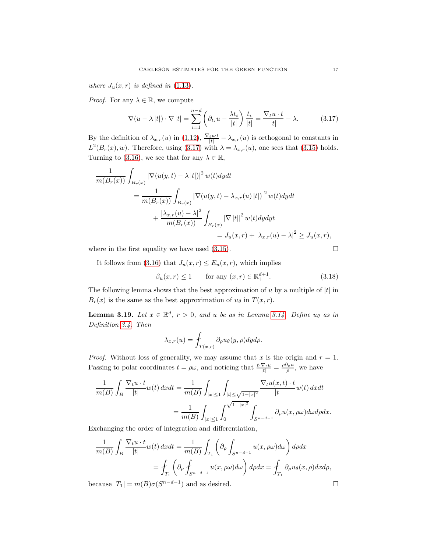*where*  $J_u(x, r)$  *is defined in* [\(1.13\)](#page-5-2).

*Proof.* For any  $\lambda \in \mathbb{R}$ , we compute

<span id="page-16-0"></span>
$$
\nabla(u - \lambda |t|) \cdot \nabla |t| = \sum_{i=1}^{n-d} \left( \partial_{t_i} u - \frac{\lambda t_i}{|t|} \right) \frac{t_i}{|t|} = \frac{\nabla_t u \cdot t}{|t|} - \lambda. \tag{3.17}
$$

By the definition of  $\lambda_{x,r}(u)$  in [\(1.12\)](#page-5-3),  $\frac{\nabla_t u \cdot t}{|t|} - \lambda_{x,r}(u)$  is orthogonal to constants in  $L^2(B_r(x), w)$ . Therefore, using [\(3.17\)](#page-16-0) with  $\lambda = \lambda_{x,r}(u)$ , one sees that [\(3.15\)](#page-15-2) holds. Turning to [\(3.16\)](#page-15-3), we see that for any  $\lambda \in \mathbb{R}$ ,

$$
\frac{1}{m(B_r(x))} \int_{B_r(x)} |\nabla(u(y,t) - \lambda |t|)|^2 w(t) dy dt
$$
\n
$$
= \frac{1}{m(B_r(x))} \int_{B_r(x)} |\nabla(u(y,t) - \lambda_{x,r}(u) |t|)|^2 w(t) dy dt
$$
\n
$$
+ \frac{|\lambda_{x,r}(u) - \lambda|^2}{m(B_r(x))} \int_{B_r(x)} |\nabla |t||^2 w(t) dy dy t
$$
\n
$$
= J_u(x,r) + |\lambda_{x,r}(u) - \lambda|^2 \ge J_u(x,r),
$$

where in the first equality we have used  $(3.15)$ .

It follows from [\(3.16\)](#page-15-3) that  $J_u(x, r) \le E_u(x, r)$ , which implies

<span id="page-16-2"></span>
$$
\beta_u(x, r) \le 1 \qquad \text{for any } (x, r) \in \mathbb{R}^{d+1}_+.
$$
 (3.18)

The following lemma shows that the best approximation of u by a multiple of  $|t|$  in  $B_r(x)$  is the same as the best approximation of  $u_\theta$  in  $T(x,r)$ .

<span id="page-16-1"></span>**Lemma 3.19.** Let  $x \in \mathbb{R}^d$ ,  $r > 0$ , and u be as in Lemma [3.14.](#page-15-4) Define  $u_{\theta}$  as in *Definition [3.4.](#page-12-2) Then*

$$
\lambda_{x,r}(u) = \int_{T(x,r)} \partial_{\rho} u_{\theta}(y,\rho) dy d\rho.
$$

*Proof.* Without loss of generality, we may assume that x is the origin and  $r = 1$ . Passing to polar coordinates  $t = \rho \omega$ , and noticing that  $\frac{t \cdot \nabla_t u}{|t|} = \frac{\rho \partial_\rho u}{\rho}$ , we have

$$
\frac{1}{m(B)}\int_B \frac{\nabla_t u \cdot t}{|t|} w(t) dx dt = \frac{1}{m(B)} \int_{|x| \le 1} \int_{|t| \le \sqrt{1-|x|^2}} \frac{\nabla_t u(x,t) \cdot t}{|t|} w(t) dx dt
$$

$$
= \frac{1}{m(B)} \int_{|x| \le 1} \int_0^{\sqrt{1-|x|^2}} \int_{S^{n-d-1}} \partial_\rho u(x, \rho \omega) d\omega d\rho dx.
$$

Exchanging the order of integration and differentiation,

$$
\frac{1}{m(B)} \int_B \frac{\nabla_t u \cdot t}{|t|} w(t) \, dx dt = \frac{1}{m(B)} \int_{T_1} \left( \partial_\rho \int_{S^{n-d-1}} u(x, \rho \omega) d\omega \right) d\rho dx
$$

$$
= \int_{T_1} \left( \partial_\rho \int_{S^{n-d-1}} u(x, \rho \omega) d\omega \right) d\rho dx = \int_{T_1} \partial_\rho u_\theta(x, \rho) dx d\rho,
$$

because  $|T_1| = m(B)\sigma(S^{n-d-1})$  and as desired.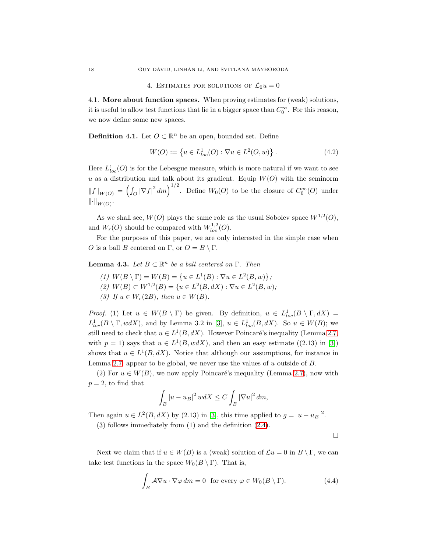4. ESTIMATES FOR SOLUTIONS OF  $\mathcal{L}_0u = 0$ 

<span id="page-17-1"></span><span id="page-17-0"></span>4.1. More about function spaces. When proving estimates for (weak) solutions, it is useful to allow test functions that lie in a bigger space than  $C_0^{\infty}$ . For this reason, we now define some new spaces.

**Definition 4.1.** Let  $O \subset \mathbb{R}^n$  be an open, bounded set. Define

$$
W(O) := \left\{ u \in L^{1}_{loc}(O) : \nabla u \in L^{2}(O, w) \right\}.
$$
\n(4.2)

Here  $L^1_{loc}(O)$  is for the Lebesgue measure, which is more natural if we want to see u as a distribution and talk about its gradient. Equip  $W(O)$  with the seminorm  $||f||_{W(O)} = \left(\int_O |\nabla f|^2 dm\right)^{1/2}$ . Define  $W_0(O)$  to be the closure of  $C_0^{\infty}(O)$  under  $\left\Vert \cdot\right\Vert _{W(O)}.$ 

As we shall see,  $W(O)$  plays the same role as the usual Sobolev space  $W^{1,2}(O)$ , and  $W_r(O)$  should be compared with  $W_{loc}^{1,2}(O)$ .

For the purposes of this paper, we are only interested in the simple case when O is a ball B centered on  $\Gamma$ , or  $O = B \setminus \Gamma$ .

<span id="page-17-3"></span>**Lemma 4.3.** *Let*  $B \subset \mathbb{R}^n$  *be a ball centered on*  $\Gamma$ *. Then* 

- (1)  $W(B \setminus \Gamma) = W(B) = \{u \in L^1(B) : \nabla u \in L^2(B, w)\};$
- (2)  $W(B) \subset W^{1,2}(B) = \{u \in L^2(B, dX) : ∇u \in L^2(B, w);$
- *(3) If*  $u \in W_r(2B)$ *, then*  $u \in W(B)$ *.*

*Proof.* (1) Let  $u \in W(B \setminus \Gamma)$  be given. By definition,  $u \in L^1_{loc}(B \setminus \Gamma, dX) =$  $L^1_{loc}(B \setminus \Gamma, wdX)$ , and by Lemma 3.2 in [\[3\]](#page-35-4),  $u \in L^1_{loc}(B, dX)$ . So  $u \in W(B)$ ; we still need to check that  $u \in L^1(B, dX)$ . However Poincaré's inequality (Lemma [2.7,](#page-8-2) with  $p = 1$ ) says that  $u \in L^1(B, wdX)$ , and then an easy estimate ((2.13) in [\[3\]](#page-35-4)) shows that  $u \in L^1(B, dX)$ . Notice that although our assumptions, for instance in Lemma [2.7,](#page-8-2) appear to be global, we never use the values of  $u$  outside of  $B$ .

(2) For  $u \in W(B)$ , we now apply Poincaré's inequality (Lemma [2.7\)](#page-8-2), now with  $p = 2$ , to find that

$$
\int_{B} |u - u_{B}|^{2} w dX \le C \int_{B} |\nabla u|^{2} dm,
$$

Then again  $u \in L^2(B, dX)$  by (2.13) in [\[3\]](#page-35-4), this time applied to  $g = |u - u_B|^2$ .

(3) follows immediately from (1) and the definition [\(2.4\)](#page-7-1).

 $\Box$ 

Next we claim that if  $u \in W(B)$  is a (weak) solution of  $\mathcal{L}u = 0$  in  $B \setminus \Gamma$ , we can take test functions in the space  $W_0(B \setminus \Gamma)$ . That is,

<span id="page-17-2"></span>
$$
\int_{B} \mathcal{A} \nabla u \cdot \nabla \varphi \, dm = 0 \quad \text{for every } \varphi \in W_0(B \setminus \Gamma). \tag{4.4}
$$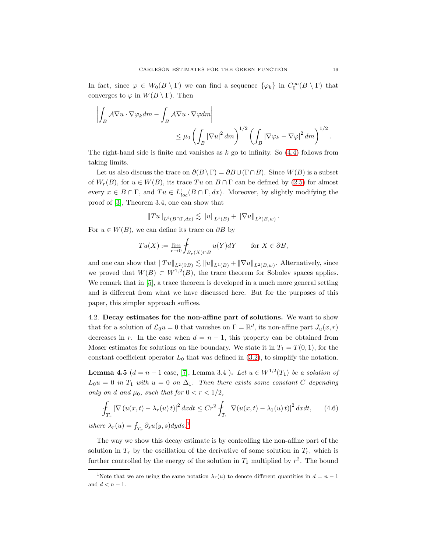In fact, since  $\varphi \in W_0(B \setminus \Gamma)$  we can find a sequence  $\{\varphi_k\}$  in  $C_0^{\infty}(B \setminus \Gamma)$  that converges to  $\varphi$  in  $W(B \setminus \Gamma)$ . Then

$$
\left| \int_B \mathcal{A} \nabla u \cdot \nabla \varphi_k dm - \int_B \mathcal{A} \nabla u \cdot \nabla \varphi dm \right|
$$
  
\$\leq \mu\_0 \left( \int\_B |\nabla u|^2 dm \right)^{1/2} \left( \int\_B |\nabla \varphi\_k - \nabla \varphi|^2 dm \right)^{1/2} \$

The right-hand side is finite and vanishes as  $k$  go to infinity. So  $(4.4)$  follows from taking limits.

Let us also discuss the trace on  $\partial(B \setminus \Gamma) = \partial B \cup (\Gamma \cap B)$ . Since  $W(B)$  is a subset of  $W_r(B)$ , for  $u \in W(B)$ , its trace Tu on  $B \cap \Gamma$  can be defined by [\(2.5\)](#page-7-2) for almost every  $x \in B \cap \Gamma$ , and  $Tu \in L^1_{loc}(B \cap \Gamma, dx)$ . Moreover, by slightly modifying the proof of [\[3\]](#page-35-4), Theorem 3.4, one can show that

$$
||Tu||_{L^2(B \cap \Gamma, dx)} \lesssim ||u||_{L^1(B)} + ||\nabla u||_{L^2(B, w)}.
$$

For  $u \in W(B)$ , we can define its trace on  $\partial B$  by

$$
Tu(X) := \lim_{r \to 0} \int_{B_r(X) \cap B} u(Y) dY \quad \text{for } X \in \partial B,
$$

and one can show that  $||Tu||_{L^2(\partial B)} \lesssim ||u||_{L^1(B)} + ||\nabla u||_{L^2(B,w)}$ . Alternatively, since we proved that  $W(B) \subset W^{1,2}(B)$ , the trace theorem for Sobolev spaces applies. We remark that in [\[5\]](#page-35-7), a trace theorem is developed in a much more general setting and is different from what we have discussed here. But for the purposes of this paper, this simpler approach suffices.

<span id="page-18-0"></span>4.2. Decay estimates for the non-affine part of solutions. We want to show that for a solution of  $\mathcal{L}_0 u = 0$  that vanishes on  $\Gamma = \mathbb{R}^d$ , its non-affine part  $J_u(x, r)$ decreases in r. In the case when  $d = n - 1$ , this property can be obtained from Moser estimates for solutions on the boundary. We state it in  $T_1 = T(0, 1)$ , for the constant coefficient operator  $L_0$  that was defined in [\(3.2\)](#page-12-3), to simplify the notation.

<span id="page-18-2"></span>**Lemma 4.5**  $(d = n - 1 \text{ case}, [7], \text{Lemma 3.4}.$  $(d = n - 1 \text{ case}, [7], \text{Lemma 3.4}.$  $(d = n - 1 \text{ case}, [7], \text{Lemma 3.4}.$  *Let*  $u \in W^{1,2}(T_1)$  *be a solution of*  $L_0u = 0$  *in*  $T_1$  *with*  $u = 0$  *on*  $\Delta_1$ *. Then there exists some constant* C *depending only on* d and  $\mu_0$ *, such that for*  $0 < r < 1/2$ *,* 

$$
\int_{T_r} \left| \nabla \left( u(x,t) - \lambda_r(u) \, t \right) \right|^2 dx dt \leq C r^2 \int_{T_1} \left| \nabla (u(x,t) - \lambda_1(u) \, t) \right|^2 dx dt, \tag{4.6}
$$

*where*  $\lambda_r(u) = \int_{T_r} \partial_s u(y, s) dy ds$ <sup>[1](#page-18-1)</sup>

The way we show this decay estimate is by controlling the non-affine part of the solution in  $T_r$  by the oscillation of the derivative of some solution in  $T_r$ , which is further controlled by the energy of the solution in  $T_1$  multiplied by  $r^2$ . The bound

.

<span id="page-18-1"></span><sup>&</sup>lt;sup>1</sup>Note that we are using the same notation  $\lambda_r(u)$  to denote different quantities in  $d = n - 1$ and  $d < n - 1$ .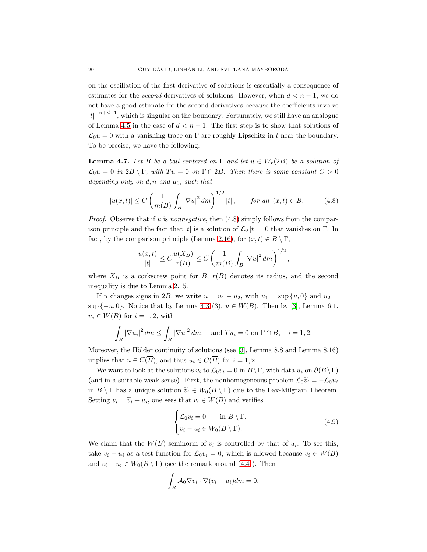on the oscillation of the first derivative of solutions is essentially a consequence of estimates for the *second* derivatives of solutions. However, when  $d < n - 1$ , we do not have a good estimate for the second derivatives because the coefficients involve  $|t|^{-n+d+1}$ , which is singular on the boundary. Fortunately, we still have an analogue of Lemma [4.5](#page-18-2) in the case of  $d < n - 1$ . The first step is to show that solutions of  $\mathcal{L}_0 u = 0$  with a vanishing trace on  $\Gamma$  are roughly Lipschitz in t near the boundary. To be precise, we have the following.

<span id="page-19-1"></span>**Lemma 4.7.** Let B be a ball centered on  $\Gamma$  and let  $u \in W_r(2B)$  be a solution of  $\mathcal{L}_0 u = 0$  in  $2B \setminus \Gamma$ , with  $Tu = 0$  on  $\Gamma \cap 2B$ . Then there is some constant  $C > 0$ *depending only on d, n and*  $\mu_0$ *, such that* 

<span id="page-19-0"></span>
$$
|u(x,t)| \le C\left(\frac{1}{m(B)}\int_B |\nabla u|^2 dm\right)^{1/2} |t| \,, \qquad \text{for all } (x,t) \in B. \tag{4.8}
$$

*Proof.* Observe that if u is *nonnegative*, then  $(4.8)$  simply follows from the comparison principle and the fact that  $|t|$  is a solution of  $\mathcal{L}_0 |t| = 0$  that vanishes on Γ. In fact, by the comparison principle (Lemma [2.16\)](#page-10-0), for  $(x, t) \in B \setminus \Gamma$ ,

$$
\frac{u(x,t)}{|t|} \le C \frac{u(X_B)}{r(B)} \le C \left( \frac{1}{m(B)} \int_B |\nabla u|^2 dm \right)^{1/2},
$$

where  $X_B$  is a corkscrew point for B,  $r(B)$  denotes its radius, and the second inequality is due to Lemma [2.15.](#page-9-2)

If u changes signs in 2B, we write  $u = u_1 - u_2$ , with  $u_1 = \sup\{u, 0\}$  and  $u_2 =$ sup  $\{-u, 0\}$ . Notice that by Lemma [4.3](#page-17-3) (3),  $u \in W(B)$ . Then by [\[3\]](#page-35-4), Lemma 6.1,  $u_i \in W(B)$  for  $i = 1, 2$ , with

$$
\int_{B} |\nabla u_i|^2 \, dm \le \int_{B} |\nabla u|^2 \, dm, \quad \text{and } Tu_i = 0 \text{ on } \Gamma \cap B, \quad i = 1, 2.
$$

Moreover, the Hölder continuity of solutions (see [\[3\]](#page-35-4), Lemma 8.8 and Lemma 8.16) implies that  $u \in C(\overline{B})$ , and thus  $u_i \in C(\overline{B})$  for  $i = 1, 2$ .

We want to look at the solutions  $v_i$  to  $\mathcal{L}_0v_i = 0$  in  $B \backslash \Gamma$ , with data  $u_i$  on  $\partial(B \backslash \Gamma)$ (and in a suitable weak sense). First, the nonhomogeneous problem  $\mathcal{L}_0\tilde{v}_i = -\mathcal{L}_0u_i$ in  $B \setminus \Gamma$  has a unique solution  $\tilde{v}_i \in W_0(B \setminus \Gamma)$  due to the Lax-Milgram Theorem. Setting  $v_i = \tilde{v}_i + u_i$ , one sees that  $v_i \in W(B)$  and verifies

$$
\begin{cases}\n\mathcal{L}_0 v_i = 0 & \text{in } B \setminus \Gamma, \\
v_i - u_i \in W_0(B \setminus \Gamma).\n\end{cases} \tag{4.9}
$$

We claim that the  $W(B)$  seminorm of  $v_i$  is controlled by that of  $u_i$ . To see this, take  $v_i - u_i$  as a test function for  $\mathcal{L}_0 v_i = 0$ , which is allowed because  $v_i \in W(B)$ and  $v_i - u_i \in W_0(B \setminus \Gamma)$  (see the remark around [\(4.4\)](#page-17-2)). Then

$$
\int_B \mathcal{A}_0 \nabla v_i \cdot \nabla (v_i - u_i) dm = 0.
$$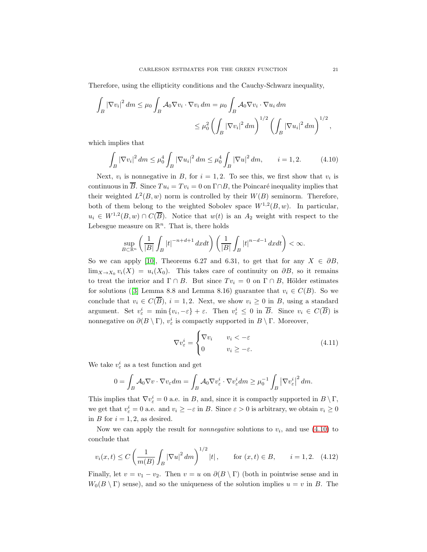Therefore, using the ellipticity conditions and the Cauchy-Schwarz inequality,

$$
\int_{B} |\nabla v_{i}|^{2} dm \leq \mu_{0} \int_{B} \mathcal{A}_{0} \nabla v_{i} \cdot \nabla v_{i} dm = \mu_{0} \int_{B} \mathcal{A}_{0} \nabla v_{i} \cdot \nabla u_{i} dm
$$
  

$$
\leq \mu_{0}^{2} \left( \int_{B} |\nabla v_{i}|^{2} dm \right)^{1/2} \left( \int_{B} |\nabla u_{i}|^{2} dm \right)^{1/2},
$$

which implies that

<span id="page-20-0"></span>
$$
\int_{B} |\nabla v_{i}|^{2} dm \leq \mu_{0}^{4} \int_{B} |\nabla u_{i}|^{2} dm \leq \mu_{0}^{4} \int_{B} |\nabla u|^{2} dm, \qquad i = 1, 2.
$$
 (4.10)

Next,  $v_i$  is nonnegative in B, for  $i = 1, 2$ . To see this, we first show that  $v_i$  is continuous in  $\overline{B}$ . Since  $Tu_i = Tv_i = 0$  on  $\Gamma \cap B$ , the Poincaré inequality implies that their weighted  $L^2(B, w)$  norm is controlled by their  $W(B)$  seminorm. Therefore, both of them belong to the weighted Sobolev space  $W^{1,2}(B, w)$ . In particular,  $u_i \in W^{1,2}(B, w) \cap C(\overline{B})$ . Notice that  $w(t)$  is an  $A_2$  weight with respect to the Lebesgue measure on  $\mathbb{R}^n$ . That is, there holds

$$
\sup_{B\subset\mathbb{R}^n}\left(\frac{1}{|B|}\int_B|t|^{-n+d+1}\,dxdt\right)\left(\frac{1}{|B|}\int_B|t|^{n-d-1}\,dxdt\right)<\infty.
$$

So we can apply [\[10\]](#page-36-6), Theorems 6.27 and 6.31, to get that for any  $X \in \partial B$ ,  $\lim_{X\to X_0} v_i(X) = u_i(X_0)$ . This takes care of continuity on  $\partial B$ , so it remains to treat the interior and  $\Gamma \cap B$ . But since  $Tv_i = 0$  on  $\Gamma \cap B$ , Hölder estimates forsolutions ([\[3\]](#page-35-4) Lemma 8.8 and Lemma 8.16) guarantee that  $v_i \in C(B)$ . So we conclude that  $v_i \in C(\overline{B})$ ,  $i = 1, 2$ . Next, we show  $v_i \geq 0$  in B, using a standard argument. Set  $v_{\varepsilon}^i = \min\{v_i, -\varepsilon\} + \varepsilon$ . Then  $v_{\varepsilon}^i \leq 0$  in  $\overline{B}$ . Since  $v_i \in C(\overline{B})$  is nonnegative on  $\partial(B \setminus \Gamma)$ ,  $v_{\varepsilon}^i$  is compactly supported in  $B \setminus \Gamma$ . Moreover,

$$
\nabla v_{\varepsilon}^{i} = \begin{cases} \nabla v_{i} & v_{i} < -\varepsilon \\ 0 & v_{i} \ge -\varepsilon. \end{cases}
$$
 (4.11)

We take  $v_{\varepsilon}^{i}$  as a test function and get

$$
0 = \int_B \mathcal{A}_0 \nabla v \cdot \nabla v_{\varepsilon} dm = \int_B \mathcal{A}_0 \nabla v_{\varepsilon}^i \cdot \nabla v_{\varepsilon}^i dm \ge \mu_0^{-1} \int_B |\nabla v_{\varepsilon}^i|^2 dm.
$$

This implies that  $\nabla v_{\varepsilon}^i = 0$  a.e. in B, and, since it is compactly supported in  $B \setminus \Gamma$ , we get that  $v_{\varepsilon}^i = 0$  a.e. and  $v_i \ge -\varepsilon$  in B. Since  $\varepsilon > 0$  is arbitrary, we obtain  $v_i \ge 0$ in B for  $i = 1, 2$ , as desired.

Now we can apply the result for *nonnegative* solutions to  $v_i$ , and use  $(4.10)$  to conclude that

<span id="page-20-1"></span>
$$
v_i(x,t) \le C \left(\frac{1}{m(B)} \int_B |\nabla u|^2 dm\right)^{1/2} |t| \,, \qquad \text{for } (x,t) \in B, \qquad i = 1,2. \tag{4.12}
$$

Finally, let  $v = v_1 - v_2$ . Then  $v = u$  on  $\partial(B \setminus \Gamma)$  (both in pointwise sense and in  $W_0(B \setminus \Gamma)$  sense), and so the uniqueness of the solution implies  $u = v$  in B. The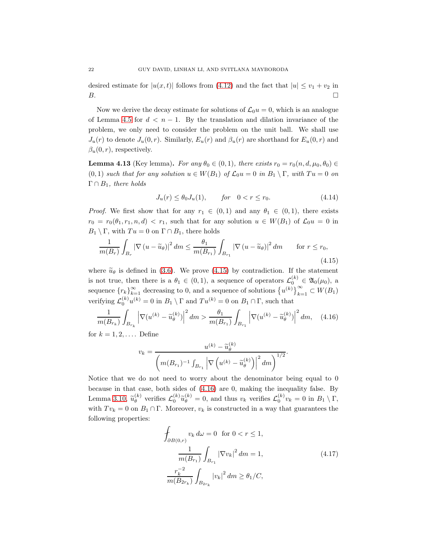desired estimate for  $|u(x, t)|$  follows from [\(4.12\)](#page-20-1) and the fact that  $|u| \le v_1 + v_2$  in  $B$ .

Now we derive the decay estimate for solutions of  $\mathcal{L}_0u = 0$ , which is an analogue of Lemma [4.5](#page-18-2) for  $d < n - 1$ . By the translation and dilation invariance of the problem, we only need to consider the problem on the unit ball. We shall use  $J_u(r)$  to denote  $J_u(0,r)$ . Similarly,  $E_u(r)$  and  $\beta_u(r)$  are shorthand for  $E_u(0,r)$  and  $\beta_u(0,r)$ , respectively.

<span id="page-21-0"></span>**Lemma 4.13** (Key lemma). *For any*  $\theta_0 \in (0,1)$ *, there exists*  $r_0 = r_0(n, d, \mu_0, \theta_0)$  $(0, 1)$  *such that for any solution*  $u \in W(B_1)$  *of*  $\mathcal{L}_0 u = 0$  *in*  $B_1 \setminus \Gamma$ *, with*  $Tu = 0$  *on*  $\Gamma \cap B_1$ *, there holds* 

<span id="page-21-4"></span>
$$
J_u(r) \le \theta_0 J_u(1), \qquad \text{for} \quad 0 < r \le r_0. \tag{4.14}
$$

*Proof.* We first show that for any  $r_1 \in (0,1)$  and any  $\theta_1 \in (0,1)$ , there exists  $r_0 = r_0(\theta_1, r_1, n, d) < r_1$ , such that for any solution  $u \in W(B_1)$  of  $\mathcal{L}_0u = 0$  in  $B_1 \setminus \Gamma$ , with  $Tu = 0$  on  $\Gamma \cap B_1$ , there holds

<span id="page-21-1"></span>
$$
\frac{1}{m(B_r)} \int_{B_r} |\nabla (u - \widetilde{u}_\theta)|^2 dm \le \frac{\theta_1}{m(B_{r_1})} \int_{B_{r_1}} |\nabla (u - \widetilde{u}_\theta)|^2 dm \quad \text{for } r \le r_0,
$$
\n(4.15)

where  $\tilde{u}_{\theta}$  is defined in [\(3.6\)](#page-12-4). We prove [\(4.15\)](#page-21-1) by contradiction. If the statement is not true, then there is a  $\theta_1 \in (0,1)$ , a sequence of operators  $\mathcal{L}_0^{(k)} \in \mathfrak{A}_0(\mu_0)$ , a sequence  ${r_k}_{k=1}^{\infty}$  decreasing to 0, and a sequence of solutions  ${u^{(k)}}_{k=1}^{\infty} \subset W(B_1)$ verifying  $\mathcal{L}_0^{(k)}u^{(k)} = 0$  in  $B_1 \setminus \Gamma$  and  $Tu^{(k)} = 0$  on  $B_1 \cap \Gamma$ , such that

<span id="page-21-2"></span>
$$
\frac{1}{m(B_{r_k})} \int_{B_{r_k}} \left| \nabla(u^{(k)} - \tilde{u}_{\theta}^{(k)}) \right|^2 dm > \frac{\theta_1}{m(B_{r_1})} \int_{B_{r_1}} \left| \nabla(u^{(k)} - \tilde{u}_{\theta}^{(k)}) \right|^2 dm, \quad (4.16)
$$

for  $k = 1, 2, \ldots$  Define

$$
v_k = \frac{u^{(k)} - \tilde{u}_{\theta}^{(k)}}{\left(m(B_{r_1})^{-1} \int_{B_{r_1}} \left|\nabla \left(u^{(k)} - \tilde{u}_{\theta}^{(k)}\right)\right|^2 dm\right)^{1/2}}.
$$

Notice that we do not need to worry about the denominator being equal to 0 because in that case, both sides of [\(4.16\)](#page-21-2) are 0, making the inequality false. By Lemma [3.10,](#page-14-0)  $\tilde{u}_{\theta}^{(k)}$  $\mathcal{L}_{\theta}^{(k)}$  verifies  $\mathcal{L}_{0}^{(k)}\widetilde{u}_{\theta}^{(k)}=0$ , and thus  $v_{k}$  verifies  $\mathcal{L}_{0}^{(k)}v_{k}=0$  in  $B_{1}\setminus\Gamma$ , with  $Tv_k = 0$  on  $B_1 \cap \Gamma$ . Moreover,  $v_k$  is constructed in a way that guarantees the following properties:

<span id="page-21-3"></span>
$$
\oint_{\partial B(0,r)} v_k \, d\omega = 0 \quad \text{for } 0 < r \le 1,
$$
\n
$$
\frac{1}{m(B_{r_1})} \int_{B_{r_1}} |\nabla v_k|^2 \, dm = 1,
$$
\n
$$
\frac{r_k^{-2}}{m(B_{2r_k})} \int_{B_{2r_k}} |v_k|^2 \, dm \ge \theta_1 / C,
$$
\n
$$
(4.17)
$$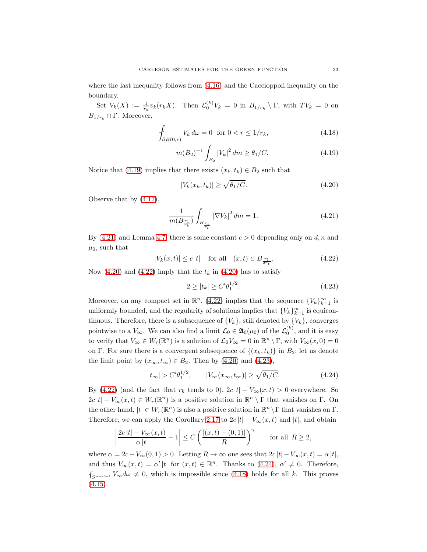where the last inequality follows from [\(4.16\)](#page-21-2) and the Caccioppoli inequality on the boundary.

Set  $V_k(X) := \frac{1}{r_k} v_k(r_k X)$ . Then  $\mathcal{L}_0^{(k)} V_k = 0$  in  $B_{1/r_k} \setminus \Gamma$ , with  $TV_k = 0$  on  $B_{1/r_k} \cap Γ$ . Moreover,

$$
\oint_{\partial B(0,r)} V_k \, d\omega = 0 \quad \text{for } 0 < r \le 1/r_k,\tag{4.18}
$$

<span id="page-22-6"></span>
$$
m(B_2)^{-1} \int_{B_2} |V_k|^2 \, dm \ge \theta_1 / C. \tag{4.19}
$$

Notice that [\(4.19\)](#page-22-0) implies that there exists  $(x_k, t_k) \in B_2$  such that

<span id="page-22-2"></span><span id="page-22-0"></span>
$$
|V_k(x_k, t_k)| \ge \sqrt{\theta_1/C}.\tag{4.20}
$$

Observe that by [\(4.17\)](#page-21-3),

<span id="page-22-1"></span>
$$
\frac{1}{m(B_{\frac{r_1}{r_k}})} \int_{B_{\frac{r_1}{r_k}}} |\nabla V_k|^2 \, dm = 1. \tag{4.21}
$$

By  $(4.21)$  and Lemma [4.7,](#page-19-1) there is some constant  $c > 0$  depending only on d, n and  $\mu_0$ , such that

<span id="page-22-3"></span>
$$
|V_k(x,t)| \le c|t| \quad \text{for all} \quad (x,t) \in B_{\frac{r_1}{2r_k}}.\tag{4.22}
$$

Now [\(4.20\)](#page-22-2) and [\(4.22\)](#page-22-3) imply that the  $t_k$  in (4.20) has to satisfy

<span id="page-22-4"></span>
$$
2 \ge |t_k| \ge C' \theta_1^{1/2}.
$$
\n(4.23)

Moreover, on any compact set in  $\mathbb{R}^n$ , [\(4.22\)](#page-22-3) implies that the sequence  $\{V_k\}_{k=1}^{\infty}$  is uniformly bounded, and the regularity of solutions implies that  ${V_k}_{k=1}^{\infty}$  is equicontinuous. Therefore, there is a subsequence of  $\{V_k\}$ , still denoted by  $\{V_k\}$ , converges pointwise to a  $V_{\infty}$ . We can also find a limit  $\mathcal{L}_0 \in \mathfrak{A}_0(\mu_0)$  of the  $\mathcal{L}_0^{(k)}$ , and it is easy to verify that  $V_{\infty} \in W_r(\mathbb{R}^n)$  is a solution of  $\mathcal{L}_0 V_{\infty} = 0$  in  $\mathbb{R}^n \setminus \Gamma$ , with  $V_{\infty}(x, 0) = 0$ on Γ. For sure there is a convergent subsequence of  $\{(x_k, t_k)\}\$ in  $B_2$ ; let us denote the limit point by  $(x_{\infty}, t_{\infty}) \in B_2$ . Then by [\(4.20\)](#page-22-2) and [\(4.23\)](#page-22-4),

<span id="page-22-5"></span>
$$
|t_{\infty}| > C'\theta_1^{1/2}, \qquad |V_{\infty}(x_{\infty}, t_{\infty})| \ge \sqrt{\theta_1/C}.
$$
 (4.24)

By [\(4.22\)](#page-22-3) (and the fact that  $r_k$  tends to 0),  $2c |t| - V_\infty(x,t) > 0$  everywhere. So  $2c|t| - V_{\infty}(x,t) \in W_r(\mathbb{R}^n)$  is a positive solution in  $\mathbb{R}^n \setminus \Gamma$  that vanishes on  $\Gamma$ . On the other hand,  $|t| \in W_r(\mathbb{R}^n)$  is also a positive solution in  $\mathbb{R}^n \setminus \Gamma$  that vanishes on  $\Gamma$ . Therefore, we can apply the Corollary [2.17](#page-10-6) to  $2c |t| - V_{\infty}(x, t)$  and  $|t|$ , and obtain

$$
\left|\frac{2c\left|t\right| - V_{\infty}(x,t)}{\alpha\left|t\right|} - 1\right| \le C\left(\frac{\left|(x,t) - (0,1)\right|}{R}\right)^{\gamma} \quad \text{for all } R \ge 2,
$$

where  $\alpha = 2c - V_{\infty}(0, 1) > 0$ . Letting  $R \to \infty$  one sees that  $2c |t| - V_{\infty}(x, t) = \alpha |t|$ , and thus  $V_{\infty}(x,t) = \alpha' |t|$  for  $(x,t) \in \mathbb{R}^n$ . Thanks to  $(4.24)$ ,  $\alpha' \neq 0$ . Therefore,  $f_{S^{n-d-1}}V_{\infty}d\omega \neq 0$ , which is impossible since [\(4.18\)](#page-22-6) holds for all k. This proves  $(4.15).$  $(4.15).$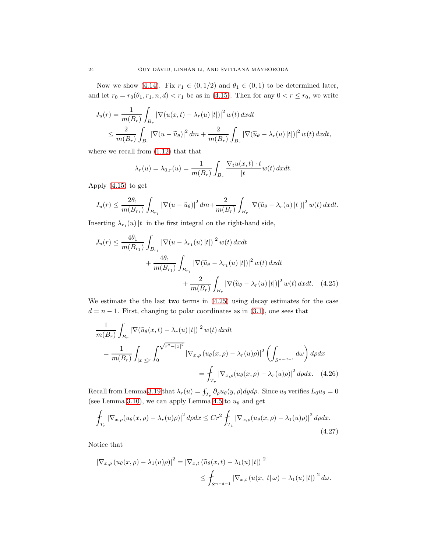Now we show [\(4.14\)](#page-21-4). Fix  $r_1 \in (0, 1/2)$  and  $\theta_1 \in (0, 1)$  to be determined later, and let  $r_0 = r_0(\theta_1, r_1, n, d) < r_1$  be as in [\(4.15\)](#page-21-1). Then for any  $0 < r \le r_0$ , we write

$$
J_u(r) = \frac{1}{m(B_r)} \int_{B_r} |\nabla(u(x, t) - \lambda_r(u) |t|)|^2 w(t) dx dt
$$
  

$$
\leq \frac{2}{m(B_r)} \int_{B_r} |\nabla(u - \tilde{u}_{\theta})|^2 dm + \frac{2}{m(B_r)} \int_{B_r} |\nabla(\tilde{u}_{\theta} - \lambda_r(u) |t|)|^2 w(t) dx dt,
$$

where we recall from [\(1.12\)](#page-5-3) that that

<span id="page-23-0"></span>
$$
\lambda_r(u) = \lambda_{0,r}(u) = \frac{1}{m(B_r)} \int_{B_r} \frac{\nabla_t u(x,t) \cdot t}{|t|} w(t) dx dt.
$$

Apply [\(4.15\)](#page-21-1) to get

$$
J_u(r) \leq \frac{2\theta_1}{m(B_{r_1})} \int_{B_{r_1}} \left| \nabla (u - \widetilde{u}_{\theta}) \right|^2 dm + \frac{2}{m(B_r)} \int_{B_r} \left| \nabla (\widetilde{u}_{\theta} - \lambda_r(u) \, |t|) \right|^2 w(t) \, dx dt.
$$

Inserting  $\lambda_{r_1}(u)$  |t| in the first integral on the right-hand side,

$$
J_u(r) \le \frac{4\theta_1}{m(B_{r_1})} \int_{B_{r_1}} |\nabla(u - \lambda_{r_1}(u) |t|)|^2 w(t) dx dt
$$
  
+ 
$$
\frac{4\theta_1}{m(B_{r_1})} \int_{B_{r_1}} |\nabla(\tilde{u}_{\theta} - \lambda_{r_1}(u) |t|)|^2 w(t) dx dt
$$
  
+ 
$$
\frac{2}{m(B_r)} \int_{B_r} |\nabla(\tilde{u}_{\theta} - \lambda_r(u) |t|)|^2 w(t) dx dt. \quad (4.25)
$$

We estimate the the last two terms in [\(4.25\)](#page-23-0) using decay estimates for the case  $d = n - 1$ . First, changing to polar coordinates as in [\(3.1\)](#page-12-5), one sees that

<span id="page-23-2"></span>
$$
\frac{1}{m(B_r)} \int_{B_r} |\nabla(\widetilde{u}_{\theta}(x,t) - \lambda_r(u) |t|)|^2 w(t) dx dt
$$
\n
$$
= \frac{1}{m(B_r)} \int_{|x| \le r} \int_0^{\sqrt{r^2 - |x|^2}} |\nabla_{x,\rho}(u_{\theta}(x,\rho) - \lambda_r(u)\rho)|^2 \left( \int_{S^{n-d-1}} d\omega \right) d\rho dx
$$
\n
$$
= \int_{T_r} |\nabla_{x,\rho}(u_{\theta}(x,\rho) - \lambda_r(u)\rho)|^2 d\rho dx. \quad (4.26)
$$

Recall from Lemma [3.19](#page-16-1) that  $\lambda_r(u) = \int_{T_r} \partial_\rho u_\theta(y, \rho) dy d\rho$ . Since  $u_\theta$  verifies  $L_0 u_\theta = 0$ (see Lemma [3.10\)](#page-14-0), we can apply Lemma [4.5](#page-18-2) to  $u_{\theta}$  and get

<span id="page-23-1"></span>
$$
\int_{T_r} |\nabla_{x,\rho}(u_\theta(x,\rho) - \lambda_r(u)\rho)|^2 d\rho dx \le Cr^2 \int_{T_1} |\nabla_{x,\rho}(u_\theta(x,\rho) - \lambda_1(u)\rho)|^2 d\rho dx.
$$
\n(4.27)

Notice that

$$
\left|\nabla_{x,\rho}\left(u_{\theta}(x,\rho)-\lambda_1(u)\rho\right)\right|^2 = \left|\nabla_{x,t}\left(\tilde{u}_{\theta}(x,t)-\lambda_1(u)\left|t\right|\right)\right|^2
$$
  

$$
\leq \int_{S^{n-d-1}} \left|\nabla_{x,t}\left(u(x,\left|t\right|\omega)-\lambda_1(u)\left|t\right|\right)\right|^2 d\omega.
$$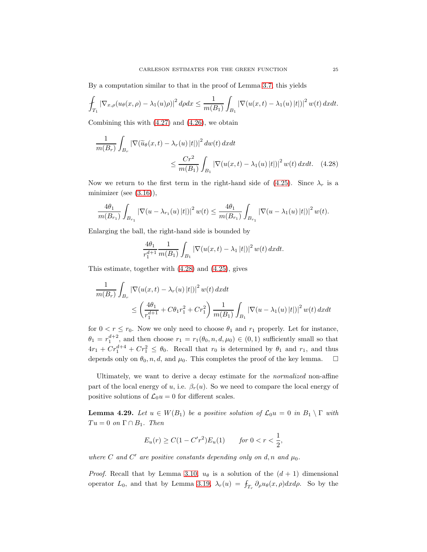By a computation similar to that in the proof of Lemma [3.7,](#page-12-1) this yields

$$
\int_{T_1} \left| \nabla_{x,\rho}(u_\theta(x,\rho) - \lambda_1(u)\rho) \right|^2 d\rho dx \leq \frac{1}{m(B_1)} \int_{B_1} \left| \nabla(u(x,t) - \lambda_1(u) \, |t|) \right|^2 w(t) \, dx dt.
$$

Combining this with  $(4.27)$  and  $(4.26)$ , we obtain

$$
\frac{1}{m(B_r)} \int_{B_r} \left| \nabla(\widetilde{u}_{\theta}(x,t) - \lambda_r(u) |t|) \right|^2 dw(t) dx dt
$$
  

$$
\leq \frac{Cr^2}{m(B_1)} \int_{B_1} \left| \nabla(u(x,t) - \lambda_1(u) |t|) \right|^2 w(t) dx dt. \quad (4.28)
$$

Now we return to the first term in the right-hand side of [\(4.25\)](#page-23-0). Since  $\lambda_r$  is a minimizer (see  $(3.16)$ ),

$$
\frac{4\theta_1}{m(B_{r_1})}\int_{B_{r_1}}\left|\nabla(u-\lambda_{r_1}(u)\,|t|\right)|^2w(t)\leq \frac{4\theta_1}{m(B_{r_1})}\int_{B_{r_1}}\left|\nabla(u-\lambda_{1}(u)\,|t|\right)|^2w(t).
$$

Enlarging the ball, the right-hand side is bounded by

<span id="page-24-0"></span>
$$
\frac{4\theta_1}{r_1^{d+1}} \frac{1}{m(B_1)} \int_{B_1} \left| \nabla (u(x,t) - \lambda_1 |t|) \right|^2 w(t) \, dx dt.
$$

This estimate, together with [\(4.28\)](#page-24-0) and [\(4.25\)](#page-23-0), gives

$$
\frac{1}{m(B_r)} \int_{B_r} \left| \nabla (u(x, t) - \lambda_r(u) |t|) \right|^2 w(t) dx dt
$$
\n
$$
\leq \left( \frac{4\theta_1}{r_1^{d+1}} + C\theta_1 r_1^2 + C r_1^2 \right) \frac{1}{m(B_1)} \int_{B_1} \left| \nabla (u - \lambda_1(u) |t|) \right|^2 w(t) dx dt
$$

for  $0 < r \le r_0$ . Now we only need to choose  $\theta_1$  and  $r_1$  properly. Let for instance,  $\theta_1 = r_1^{d+2}$ , and then choose  $r_1 = r_1(\theta_0, n, d, \mu_0) \in (0, 1)$  sufficiently small so that  $4r_1 + Cr_1^{d+4} + Cr_1^2 \leq \theta_0$ . Recall that  $r_0$  is determined by  $\theta_1$  and  $r_1$ , and thus depends only on  $\theta_0$ , n, d, and  $\mu_0$ . This completes the proof of the key lemma.  $\Box$ 

Ultimately, we want to derive a decay estimate for the *normalized* non-affine part of the local energy of u, i.e.  $\beta_r(u)$ . So we need to compare the local energy of positive solutions of  $\mathcal{L}_0u = 0$  for different scales.

<span id="page-24-1"></span>**Lemma 4.29.** *Let*  $u \in W(B_1)$  *be a positive solution of*  $\mathcal{L}_0 u = 0$  *in*  $B_1 \setminus \Gamma$  *with*  $Tu = 0$  *on*  $\Gamma \cap B_1$ *. Then* 

$$
E_u(r) \ge C(1 - C'r^2)E_u(1) \qquad \text{for } 0 < r < \frac{1}{2},
$$

where C and C' are positive constants depending only on  $d, n$  and  $\mu_0$ .

*Proof.* Recall that by Lemma [3.10,](#page-14-0)  $u_{\theta}$  is a solution of the  $(d + 1)$  dimensional operator  $L_0$ , and that by Lemma [3.19,](#page-16-1)  $\lambda_r(u) = f_{T_r} \partial_\rho u_\theta(x,\rho) dx d\rho$ . So by the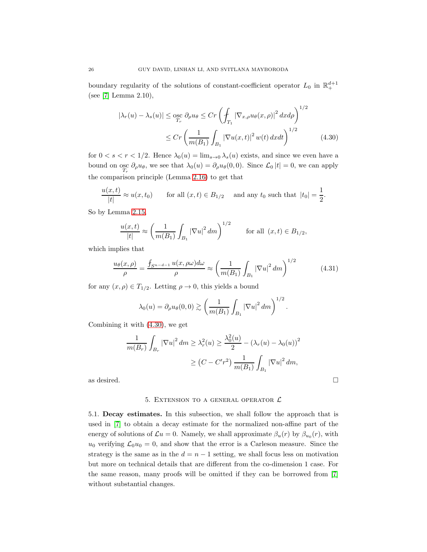boundary regularity of the solutions of constant-coefficient operator  $L_0$  in  $\mathbb{R}^{d+1}_+$ (see [\[7\]](#page-35-1) Lemma 2.10),

<span id="page-25-2"></span>
$$
|\lambda_r(u) - \lambda_s(u)| \le \underset{T_r}{\mathrm{osc}} \; \partial_\rho u_\theta \le Cr \left( \int_{T_1} |\nabla_{x,\rho} u_\theta(x,\rho)|^2 \, dxd\rho \right)^{1/2}
$$
  

$$
\le Cr \left( \frac{1}{m(B_1)} \int_{B_1} |\nabla u(x,t)|^2 \, w(t) \, dxdt \right)^{1/2} \tag{4.30}
$$

for  $0 < s < r < 1/2$ . Hence  $\lambda_0(u) = \lim_{s\to 0} \lambda_s(u)$  exists, and since we even have a bound on osc  $\partial_{\rho}u_{\theta}$ , we see that  $\lambda_0(u) = \partial_{\rho}u_{\theta}(0,0)$ . Since  $\mathcal{L}_0 |t| = 0$ , we can apply the comparison principle (Lemma [2.16\)](#page-10-0) to get that

$$
\frac{u(x,t)}{|t|} \approx u(x,t_0) \qquad \text{for all } (x,t) \in B_{1/2} \quad \text{and any } t_0 \text{ such that } |t_0| = \frac{1}{2}.
$$

So by Lemma [2.15,](#page-9-2)

$$
\frac{u(x,t)}{|t|} \approx \left(\frac{1}{m(B_1)} \int_{B_1} |\nabla u|^2 dm\right)^{1/2} \quad \text{for all } (x,t) \in B_{1/2},
$$

which implies that

$$
\frac{u_{\theta}(x,\rho)}{\rho} = \frac{f_{S^{n-d-1}}u(x,\rho\omega)d\omega}{\rho} \approx \left(\frac{1}{m(B_1)}\int_{B_1}|\nabla u|^2\,dm\right)^{1/2} \tag{4.31}
$$

for any  $(x, \rho) \in T_{1/2}$ . Letting  $\rho \to 0$ , this yields a bound

$$
\lambda_0(u) = \partial_{\rho} u_{\theta}(0,0) \gtrsim \left(\frac{1}{m(B_1)} \int_{B_1} |\nabla u|^2 dm\right)^{1/2}.
$$

Combining it with [\(4.30\)](#page-25-2), we get

$$
\frac{1}{m(B_r)} \int_{B_r} |\nabla u|^2 dm \ge \lambda_r^2(u) \ge \frac{\lambda_0^2(u)}{2} - (\lambda_r(u) - \lambda_0(u))^2
$$
  
 
$$
\ge (C - C'r^2) \frac{1}{m(B_1)} \int_{B_1} |\nabla u|^2 dm,
$$

<span id="page-25-0"></span>as desired.  $\hfill \square$ 

### 5. EXTENSION TO A GENERAL OPERATOR  $\mathcal L$

<span id="page-25-1"></span>5.1. Decay estimates. In this subsection, we shall follow the approach that is used in [\[7\]](#page-35-1) to obtain a decay estimate for the normalized non-affine part of the energy of solutions of  $\mathcal{L}u = 0$ . Namely, we shall approximate  $\beta_u(r)$  by  $\beta_{u_0}(r)$ , with  $u_0$  verifying  $\mathcal{L}_0 u_0 = 0$ , and show that the error is a Carleson measure. Since the strategy is the same as in the  $d = n - 1$  setting, we shall focus less on motivation but more on technical details that are different from the co-dimension 1 case. For the same reason, many proofs will be omitted if they can be borrowed from [\[7\]](#page-35-1) without substantial changes.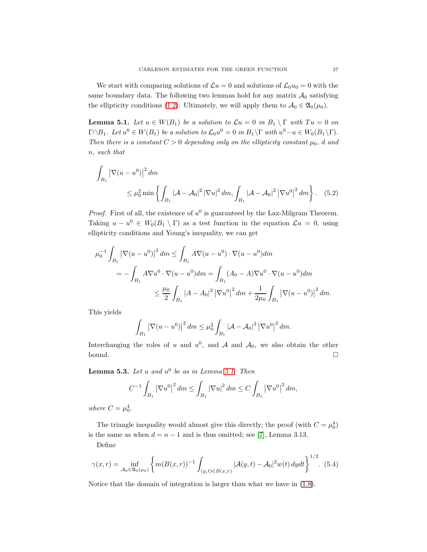We start with comparing solutions of  $\mathcal{L}u = 0$  and solutions of  $\mathcal{L}_0u_0 = 0$  with the same boundary data. The following two lemmas hold for any matrix  $A_0$  satisfying the ellipticity conditions [\(1.2\)](#page-2-0). Ultimately, we will apply them to  $A_0 \in \mathfrak{A}_0(\mu_0)$ .

<span id="page-26-0"></span>**Lemma 5.1.** *Let*  $u \in W(B_1)$  *be a solution to*  $\mathcal{L}u = 0$  *in*  $B_1 \setminus \Gamma$  *with*  $Tu = 0$  *on*  $\Gamma \cap B_1$ *. Let*  $u^0 \in W(B_1)$  *be a solution to*  $\mathcal{L}_0 u^0 = 0$  *in*  $B_1 \backslash \Gamma$  *with*  $u^0 - u \in W_0(B_1 \backslash \Gamma)$ *. Then there is a constant*  $C > 0$  *depending only on the ellipticity constant*  $\mu_0$ , *d and* n*, such that*

$$
\int_{B_1} \left| \nabla (u - u^0) \right|^2 dm
$$
\n
$$
\leq \mu_0^2 \min \left\{ \int_{B_1} \left| \mathcal{A} - \mathcal{A}_0 \right|^2 \left| \nabla u \right|^2 dm, \int_{B_1} \left| \mathcal{A} - \mathcal{A}_0 \right|^2 \left| \nabla u^0 \right|^2 dm \right\}. \quad (5.2)
$$

*Proof.* First of all, the existence of  $u^0$  is guaranteed by the Lax-Milgram Theorem. Taking  $u - u^0 \in W_0(B_1 \setminus \Gamma)$  as a test function in the equation  $\mathcal{L}u = 0$ , using ellipticity conditions and Young's inequality, we can get

$$
\mu_0^{-1} \int_{B_1} \left| \nabla(u - u^0) \right|^2 dm \le \int_{B_1} A \nabla(u - u^0) \cdot \nabla(u - u^0) dm
$$
  
=  $-\int_{B_1} A \nabla u^0 \cdot \nabla(u - u^0) dm = \int_{B_1} (A_0 - A) \nabla u^0 \cdot \nabla(u - u^0) dm$   
 $\le \frac{\mu_0}{2} \int_{B_1} |A - A_0|^2 |\nabla u^0|^2 dm + \frac{1}{2\mu_0} \int_{B_1} |\nabla(u - u^0)|^2 dm.$ 

This yields

$$
\int_{B_1} \left| \nabla (u - u^0) \right|^2 dm \leq \mu_0^2 \int_{B_1} \left| \mathcal{A} - \mathcal{A}_0 \right|^2 \left| \nabla u^0 \right|^2 dm.
$$

Interchanging the roles of u and  $u^0$ , and  $\mathcal A$  and  $\mathcal A_0$ , we also obtain the other bound.  $\Box$ 

<span id="page-26-2"></span>Lemma 5.3. *Let* u *and* u 0 *be as in Lemma [5.1.](#page-26-0) Then*

$$
C^{-1} \int_{B_1} \left| \nabla u^0 \right|^2 dm \le \int_{B_1} \left| \nabla u \right|^2 dm \le C \int_{B_1} \left| \nabla u^0 \right|^2 dm,
$$

*where*  $C = \mu_0^4$ .

The triangle inequality would almost give this directly; the proof (with  $C = \mu_0^4$ ) is the same as when  $d = n - 1$  and is thus omitted; see [\[7\]](#page-35-1), Lemma 3.13.

Define

<span id="page-26-1"></span>
$$
\gamma(x,r) = \inf_{\mathcal{A}_0 \in \mathfrak{A}_0(\mu_0)} \left\{ m(B(x,r))^{-1} \int_{(y,t) \in B(x,r)} |\mathcal{A}(y,t) - \mathcal{A}_0|^2 w(t) \, dy dt \right\}^{1/2}.
$$
 (5.4)

Notice that the domain of integration is larger than what we have in [\(1.8\)](#page-4-2).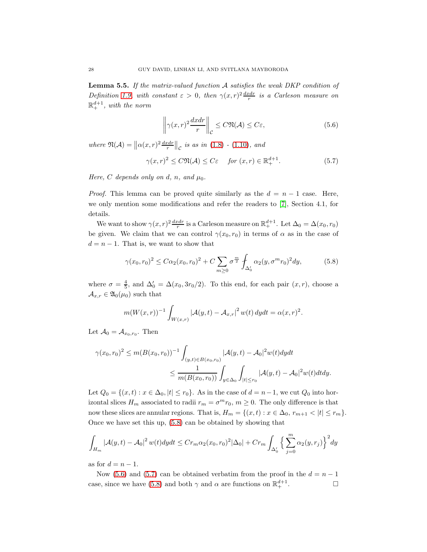<span id="page-27-3"></span>Lemma 5.5. *If the matrix-valued function* A *satisfies the weak DKP condition of Definition* [1.9,](#page-4-0) with constant  $\varepsilon > 0$ , then  $\gamma(x, r)^2 \frac{dx dr}{r}$  is a Carleson measure on  $\mathbb{R}^{d+1}_+$ , with the norm

<span id="page-27-1"></span>
$$
\left\|\gamma(x,r)^2\frac{dxdr}{r}\right\|_{\mathcal{C}} \leq C\Re(\mathcal{A}) \leq C\varepsilon,\tag{5.6}
$$

*where*  $\Re(A) = ||\alpha(x, r)|^2 \frac{dx dr}{r}||_c$  *is as in* [\(1.8\)](#page-4-2) - [\(1.10\)](#page-4-1)*, and* 

<span id="page-27-2"></span>
$$
\gamma(x,r)^2 \le C\Re(\mathcal{A}) \le C\varepsilon \quad \text{for } (x,r) \in \mathbb{R}_+^{d+1}.
$$
 (5.7)

*Here,* C depends only on d, n, and  $\mu_0$ .

*Proof.* This lemma can be proved quite similarly as the  $d = n - 1$  case. Here, we only mention some modifications and refer the readers to [\[7\]](#page-35-1), Section 4.1, for details.

We want to show  $\gamma(x,r)^2 \frac{dx dr}{r}$  is a Carleson measure on  $\mathbb{R}^{d+1}_+$ . Let  $\Delta_0 = \Delta(x_0, r_0)$ be given. We claim that we can control  $\gamma(x_0, r_0)$  in terms of  $\alpha$  as in the case of  $d = n - 1$ . That is, we want to show that

<span id="page-27-0"></span>
$$
\gamma(x_0, r_0)^2 \le C\alpha_2(x_0, r_0)^2 + C \sum_{m \ge 0} \sigma^{\frac{m}{2}} \int_{\Delta'_0} \alpha_2(y, \sigma^m r_0)^2 dy,\tag{5.8}
$$

where  $\sigma = \frac{4}{5}$ , and  $\Delta'_0 = \Delta(x_0, 3r_0/2)$ . To this end, for each pair  $(x, r)$ , choose a  $\mathcal{A}_{x,r} \in \mathfrak{A}_{0}(\mu_{0})$  such that

$$
m(W(x,r))^{-1} \int_{W(x,r)} |A(y,t) - A_{x,r}|^2 w(t) dy dt = \alpha(x,r)^2.
$$

Let  $A_0 = A_{x_0,r_0}$ . Then

$$
\gamma(x_0, r_0)^2 \le m(B(x_0, r_0))^{-1} \int_{(y,t) \in B(x_0, r_0)} |\mathcal{A}(y, t) - \mathcal{A}_0|^2 w(t) dy dt
$$
  

$$
\le \frac{1}{m(B(x_0, r_0))} \int_{y \in \Delta_0} \int_{|t| \le r_0} |\mathcal{A}(y, t) - \mathcal{A}_0|^2 w(t) dt dy.
$$

Let  $Q_0 = \{(x, t) : x \in \Delta_0, |t| \le r_0\}$ . As in the case of  $d = n - 1$ , we cut  $Q_0$  into horizontal slices  $H_m$  associated to radii  $r_m = \sigma^m r_0$ ,  $m \ge 0$ . The only difference is that now these slices are annular regions. That is,  $H_m = \{(x, t) : x \in \Delta_0, r_{m+1} < |t| \le r_m\}.$ Once we have set this up, [\(5.8\)](#page-27-0) can be obtained by showing that

$$
\int_{H_m} |{\mathcal{A}}(y,t) - {\mathcal{A}}_0|^2 w(t) dy dt \le Cr_m \alpha_2(x_0, r_0)^2 |\Delta_0| + Cr_m \int_{\Delta'_0} \Big\{ \sum_{j=0}^m \alpha_2(y, r_j) \Big\}^2 dy
$$

as for  $d = n - 1$ .

Now [\(5.6\)](#page-27-1) and [\(5.7\)](#page-27-2) can be obtained verbatim from the proof in the  $d = n - 1$ case, since we have [\(5.8\)](#page-27-0) and both  $\gamma$  and  $\alpha$  are functions on  $\mathbb{R}^{d+1}_+$ .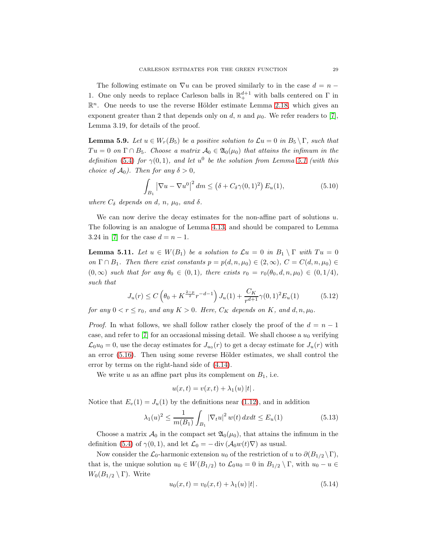The following estimate on  $\nabla u$  can be proved similarly to in the case  $d = n -$ 1. One only needs to replace Carleson balls in  $\mathbb{R}^{d+1}_+$  with balls centered on  $\Gamma$  in  $\mathbb{R}^n$ . One needs to use the reverse Hölder estimate Lemma [2.18,](#page-10-1) which gives an exponent greater than 2 that depends only on d, n and  $\mu_0$ . We refer readers to [\[7\]](#page-35-1), Lemma 3.19, for details of the proof.

<span id="page-28-3"></span>**Lemma 5.9.** Let  $u \in W_r(B_5)$  be a positive solution to  $\mathcal{L}u = 0$  in  $B_5 \setminus \Gamma$ , such that  $Tu = 0$  on  $\Gamma \cap B_5$ . Choose a matrix  $\mathcal{A}_0 \in \mathfrak{A}_0(\mu_0)$  that attains the infimum in the *definition* [\(5.4\)](#page-26-1) *for*  $\gamma(0,1)$ *, and let*  $u^0$  *be the solution from Lemma* [5.1](#page-26-0) *(with this choice of*  $\mathcal{A}_0$ *). Then for any*  $\delta > 0$ ,

$$
\int_{B_1} \left| \nabla u - \nabla u^0 \right|^2 dm \le \left( \delta + C_\delta \gamma(0, 1)^2 \right) E_u(1),\tag{5.10}
$$

*where*  $C_{\delta}$  *depends on d, n,*  $\mu_0$ *, and*  $\delta$ .

We can now derive the decay estimates for the non-affine part of solutions  $u$ . The following is an analogue of Lemma [4.13,](#page-21-0) and should be compared to Lemma 3.24 in [\[7\]](#page-35-1) for the case  $d = n - 1$ .

<span id="page-28-4"></span>**Lemma 5.11.** *Let*  $u \in W(B_1)$  *be a solution to*  $\mathcal{L}u = 0$  *in*  $B_1 \setminus \Gamma$  *with*  $Tu = 0$ *on*  $\Gamma \cap B_1$ *. Then there exist constants*  $p = p(d, n, \mu_0) \in (2, \infty)$ *,*  $C = C(d, n, \mu_0) \in$  $(0, \infty)$  *such that for any*  $\theta_0 \in (0, 1)$ *, there exists*  $r_0 = r_0(\theta_0, d, n, \mu_0) \in (0, 1/4)$ *, such that*

<span id="page-28-2"></span>
$$
J_u(r) \le C \left(\theta_0 + K^{\frac{2-p}{2}} r^{-d-1}\right) J_u(1) + \frac{C_K}{r^{d+1}} \gamma(0, 1)^2 E_u(1) \tag{5.12}
$$

*for any*  $0 < r \leq r_0$ *, and any*  $K > 0$ *. Here,*  $C_K$  *depends on*  $K$ *, and*  $d, n, \mu_0$ *.* 

*Proof.* In what follows, we shall follow rather closely the proof of the  $d = n - 1$ case, and refer to  $[7]$  for an occasional missing detail. We shall choose a  $u_0$  verifying  $\mathcal{L}_0 u_0 = 0$ , use the decay estimates for  $J_{u_0}(r)$  to get a decay estimate for  $J_u(r)$  with an error  $(5.16)$ . Then using some reverse Hölder estimates, we shall control the error by terms on the right-hand side of [\(4.14\)](#page-21-4).

We write  $u$  as an affine part plus its complement on  $B_1$ , i.e.

$$
u(x,t) = v(x,t) + \lambda_1(u) |t|.
$$

Notice that  $E_v(1) = J_u(1)$  by the definitions near [\(1.12\)](#page-5-3), and in addition

<span id="page-28-1"></span>
$$
\lambda_1(u)^2 \le \frac{1}{m(B_1)} \int_{B_1} |\nabla_t u|^2 w(t) \, dx dt \le E_u(1) \tag{5.13}
$$

Choose a matrix  $\mathcal{A}_0$  in the compact set  $\mathfrak{A}_0(\mu_0)$ , that attains the infimum in the definition [\(5.4\)](#page-26-1) of  $\gamma(0,1)$ , and let  $\mathcal{L}_0 = - \text{div} (\mathcal{A}_0 w(t) \nabla)$  as usual.

Now consider the  $\mathcal{L}_0$ -harmonic extension  $u_0$  of the restriction of u to  $\partial(B_{1/2} \setminus \Gamma)$ , that is, the unique solution  $u_0 \in W(B_{1/2})$  to  $\mathcal{L}_0 u_0 = 0$  in  $B_{1/2} \setminus \Gamma$ , with  $u_0 - u \in$  $W_0(B_{1/2} \setminus \Gamma)$ . Write

<span id="page-28-0"></span>
$$
u_0(x,t) = v_0(x,t) + \lambda_1(u) |t|.
$$
 (5.14)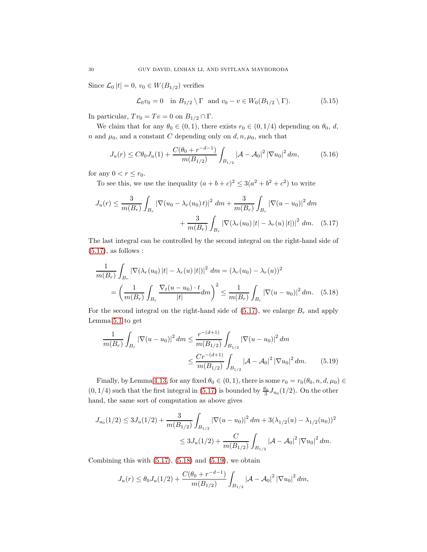Since  $\mathcal{L}_0 |t| = 0$ ,  $v_0 \in W(B_{1/2})$  verifies

<span id="page-29-1"></span>
$$
\mathcal{L}_0 v_0 = 0 \quad \text{in } B_{1/2} \setminus \Gamma \quad \text{and } v_0 - v \in W_0(B_{1/2} \setminus \Gamma). \tag{5.15}
$$

In particular,  $Tv_0 = Tv = 0$  on  $B_{1/2} \cap \Gamma$ .

We claim that for any  $\theta_0 \in (0,1)$ , there exists  $r_0 \in (0,1/4)$  depending on  $\theta_0$ , d, n and  $\mu_0$ , and a constant C depending only on  $d, n, \mu_0$ , such that

<span id="page-29-0"></span>
$$
J_u(r) \le C\theta_0 J_u(1) + \frac{C(\theta_0 + r^{-d-1})}{m(B_{1/2})} \int_{B_{1/2}} |\mathcal{A} - \mathcal{A}_0|^2 |\nabla u_0|^2 dm, \tag{5.16}
$$

for any  $0 < r \leq r_0$ .

To see this, we use the inequality  $(a+b+c)^2 \leq 3(a^2+b^2+c^2)$  to write

$$
J_u(r) \le \frac{3}{m(B_r)} \int_{B_r} \left| \nabla (u_0 - \lambda_r(u_0) t) \right|^2 dm + \frac{3}{m(B_r)} \int_{B_r} \left| \nabla (u - u_0) \right|^2 dm + \frac{3}{m(B_r)} \int_{B_r} \left| \nabla (\lambda_r(u_0) \left| t \right| - \lambda_r(u) \left| t \right|) \right|^2 dm. \tag{5.17}
$$

The last integral can be controlled by the second integral on the right-hand side of  $(5.17)$ , as follows :

$$
\frac{1}{m(B_r)} \int_{B_r} |\nabla(\lambda_r(u_0)|t| - \lambda_r(u)|t|)|^2 dm = (\lambda_r(u_0) - \lambda_r(u))^2
$$
  
=  $\left(\frac{1}{m(B_r)} \int_{B_r} \frac{\nabla_t(u - u_0) \cdot t}{|t|} dm\right)^2 \le \frac{1}{m(B_r)} \int_{B_r} |\nabla(u - u_0)|^2 dm.$  (5.18)

For the second integral on the right-hand side of  $(5.17)$ , we enlarge  $B_r$  and apply Lemma [5.1](#page-26-0) to get

<span id="page-29-3"></span><span id="page-29-2"></span>
$$
\frac{1}{m(B_r)} \int_{B_r} |\nabla(u - u_0)|^2 dm \le \frac{r^{-(d+1)}}{m(B_{1/2})} \int_{B_{1/2}} |\nabla(u - u_0)|^2 dm
$$
  

$$
\le \frac{Cr^{-(d+1)}}{m(B_{1/2})} \int_{B_{1/2}} |\mathcal{A} - \mathcal{A}_0|^2 |\nabla u_0|^2 dm.
$$
 (5.19)

Finally, by Lemma [4.13,](#page-21-0) for any fixed  $\theta_0 \in (0,1)$ , there is some  $r_0 = r_0(\theta_0, n, d, \mu_0) \in$  $(0, 1/4)$  such that the first integral in [\(5.17\)](#page-29-1) is bounded by  $\frac{\theta_0}{3} J_{u_0}(1/2)$ . On the other hand, the same sort of computation as above gives

$$
J_{u_0}(1/2) \le 3J_u(1/2) + \frac{3}{m(B_{1/2})} \int_{B_{1/2}} |\nabla(u - u_0)|^2 dm + 3(\lambda_{1/2}(u) - \lambda_{1/2}(u_0))^2
$$
  

$$
\le 3J_u(1/2) + \frac{C}{m(B_{1/2})} \int_{B_{1/2}} |A - A_0|^2 |\nabla u_0|^2 dm.
$$

Combining this with  $(5.17)$ ,  $(5.18)$  and  $(5.19)$ , we obtain

$$
J_u(r) \leq \theta_0 J_u(1/2) + \frac{C(\theta_0 + r^{-d-1})}{m(B_{1/2})} \int_{B_{1/2}} |\mathcal{A} - \mathcal{A}_0|^2 |\nabla u_0|^2 dm,
$$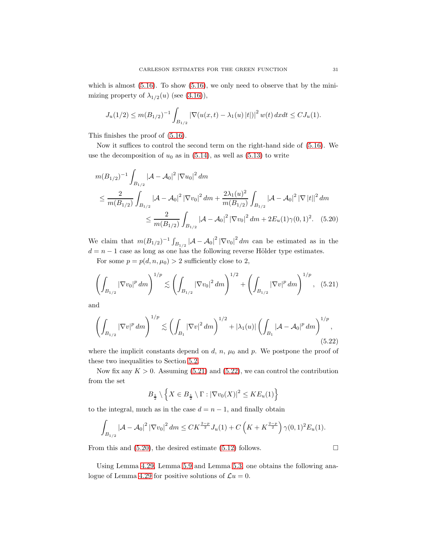which is almost  $(5.16)$ . To show  $(5.16)$ , we only need to observe that by the minimizing property of  $\lambda_{1/2}(u)$  (see [\(3.16\)](#page-15-3)),

$$
J_u(1/2) \le m(B_{1/2})^{-1} \int_{B_{1/2}} |\nabla(u(x,t) - \lambda_1(u) |t|)|^2 w(t) dx dt \le C J_u(1).
$$

This finishes the proof of [\(5.16\)](#page-29-0).

Now it suffices to control the second term on the right-hand side of [\(5.16\)](#page-29-0). We use the decomposition of  $u_0$  as in [\(5.14\)](#page-28-0), as well as [\(5.13\)](#page-28-1) to write

<span id="page-30-2"></span>
$$
m(B_{1/2})^{-1} \int_{B_{1/2}} |\mathcal{A} - \mathcal{A}_0|^2 |\nabla u_0|^2 dm
$$
  
\n
$$
\leq \frac{2}{m(B_{1/2})} \int_{B_{1/2}} |\mathcal{A} - \mathcal{A}_0|^2 |\nabla v_0|^2 dm + \frac{2\lambda_1(u)^2}{m(B_{1/2})} \int_{B_{1/2}} |\mathcal{A} - \mathcal{A}_0|^2 |\nabla |t||^2 dm
$$
  
\n
$$
\leq \frac{2}{m(B_{1/2})} \int_{B_{1/2}} |\mathcal{A} - \mathcal{A}_0|^2 |\nabla v_0|^2 dm + 2E_u(1)\gamma(0, 1)^2. \quad (5.20)
$$

We claim that  $m(B_{1/2})^{-1}\int_{B_{1/2}}|\mathcal{A}-\mathcal{A}_0|^2 |\nabla v_0|^2 dm$  can be estimated as in the  $d = n - 1$  case as long as one has the following reverse Hölder type estimates.

For some  $p = p(d, n, \mu_0) > 2$  sufficiently close to 2,

<span id="page-30-0"></span>
$$
\left(\int_{B_{1/2}} |\nabla v_0|^p \, dm\right)^{1/p} \lesssim \left(\int_{B_{1/2}} |\nabla v_0|^2 \, dm\right)^{1/2} + \left(\int_{B_{1/2}} |\nabla v|^p \, dm\right)^{1/p}, \tag{5.21}
$$

and

<span id="page-30-1"></span>
$$
\left(\int_{B_{1/2}} |\nabla v|^p \, dm\right)^{1/p} \lesssim \left(\int_{B_1} |\nabla v|^2 \, dm\right)^{1/2} + |\lambda_1(u)| \left(\int_{B_1} |A - A_0|^p \, dm\right)^{1/p},\tag{5.22}
$$

where the implicit constants depend on d, n,  $\mu_0$  and p. We postpone the proof of these two inequalities to Section [5.2.](#page-32-0)

Now fix any  $K > 0$ . Assuming [\(5.21\)](#page-30-0) and [\(5.22\)](#page-30-1), we can control the contribution from the set

$$
B_{\frac{1}{2}}\setminus \left\{X\in B_{\frac{1}{2}}\setminus \Gamma: |\nabla v_0(X)|^2\leq KE_u(1)\right\}
$$

to the integral, much as in the case  $d = n - 1$ , and finally obtain

$$
\int_{B_{1/2}} |\mathcal{A} - \mathcal{A}_0|^2 |\nabla v_0|^2 dm \leq C K^{\frac{2-p}{2}} J_u(1) + C \left( K + K^{\frac{2-p}{2}} \right) \gamma(0, 1)^2 E_u(1).
$$

From this and [\(5.20\)](#page-30-2), the desired estimate [\(5.12\)](#page-28-2) follows.  $\Box$ 

Using Lemma [4.29,](#page-24-1) Lemma [5.9](#page-28-3) and Lemma [5.3,](#page-26-2) one obtains the following ana-logue of Lemma [4.29](#page-24-1) for positive solutions of  $\mathcal{L}u = 0$ .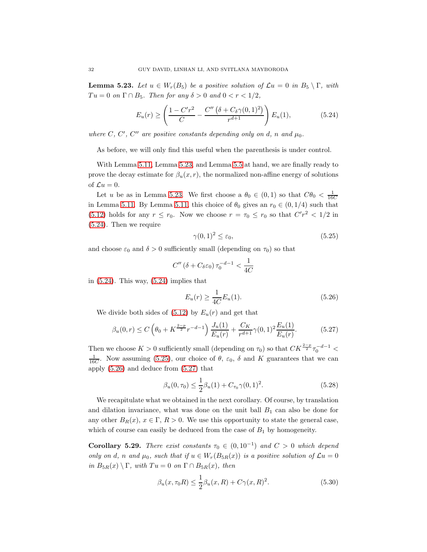<span id="page-31-0"></span>**Lemma 5.23.** Let  $u \in W_r(B_5)$  be a positive solution of  $\mathcal{L}u = 0$  in  $B_5 \setminus \Gamma$ , with  $Tu = 0$  *on*  $\Gamma \cap B_5$ *. Then for any*  $\delta > 0$  *and*  $0 < r < 1/2$ *,* 

<span id="page-31-1"></span>
$$
E_u(r) \ge \left(\frac{1 - C'r^2}{C} - \frac{C''\left(\delta + C_\delta\gamma(0, 1)^2\right)}{r^{d+1}}\right) E_u(1),\tag{5.24}
$$

where  $C$ ,  $C'$ ,  $C''$  are positive constants depending only on  $d$ ,  $n$  and  $\mu_0$ .

As before, we will only find this useful when the parenthesis is under control.

With Lemma [5.11,](#page-28-4) Lemma [5.23,](#page-31-0) and Lemma [5.5](#page-27-3) at hand, we are finally ready to prove the decay estimate for  $\beta_u(x, r)$ , the normalized non-affine energy of solutions of  $\mathcal{L}u = 0$ .

Let u be as in Lemma [5.23.](#page-31-0) We first choose a  $\theta_0 \in (0,1)$  so that  $C\theta_0 < \frac{1}{16C}$ in Lemma [5.11.](#page-28-4) By Lemma [5.11,](#page-28-4) this choice of  $\theta_0$  gives an  $r_0 \in (0, 1/4)$  such that [\(5.12\)](#page-28-2) holds for any  $r \le r_0$ . Now we choose  $r = \tau_0 \le r_0$  so that  $C'r^2 < 1/2$  in [\(5.24\)](#page-31-1). Then we require

<span id="page-31-2"></span>
$$
\gamma(0,1)^2 \le \varepsilon_0,\tag{5.25}
$$

and choose  $\varepsilon_0$  and  $\delta > 0$  sufficiently small (depending on  $\tau_0$ ) so that

$$
C''\left(\delta + C_{\delta} \varepsilon_0\right) \tau_0^{-d-1} < \frac{1}{4C}
$$

in  $(5.24)$ . This way,  $(5.24)$  implies that

<span id="page-31-3"></span>
$$
E_u(r) \ge \frac{1}{4C} E_u(1). \tag{5.26}
$$

We divide both sides of  $(5.12)$  by  $E_u(r)$  and get that

<span id="page-31-4"></span>
$$
\beta_u(0,r) \le C \left(\theta_0 + K^{\frac{2-p}{2}} r^{-d-1}\right) \frac{J_u(1)}{E_u(r)} + \frac{C_K}{r^{d+1}} \gamma(0,1)^2 \frac{E_u(1)}{E_u(r)}. \tag{5.27}
$$

Then we choose  $K > 0$  sufficiently small (depending on  $\tau_0$ ) so that  $CK^{\frac{2-p}{2}} \tau_0^{-d-1}$  $\frac{1}{16C}$ . Now assuming [\(5.25\)](#page-31-2), our choice of  $\theta$ ,  $\varepsilon_0$ ,  $\delta$  and K guarantees that we can apply [\(5.26\)](#page-31-3) and deduce from [\(5.27\)](#page-31-4) that

$$
\beta_u(0, \tau_0) \le \frac{1}{2}\beta_u(1) + C_{\tau_0} \gamma(0, 1)^2.
$$
\n(5.28)

We recapitulate what we obtained in the next corollary. Of course, by translation and dilation invariance, what was done on the unit ball  $B_1$  can also be done for any other  $B_R(x)$ ,  $x \in \Gamma$ ,  $R > 0$ . We use this opportunity to state the general case, which of course can easily be deduced from the case of  $B_1$  by homogeneity.

**Corollary 5.29.** *There exist constants*  $\tau_0 \in (0, 10^{-1})$  *and*  $C > 0$  *which depend only on* d, n and  $\mu_0$ , such that if  $u \in W_r(B_{5R}(x))$  is a positive solution of  $\mathcal{L}u = 0$ *in*  $B_{5R}(x) \setminus \Gamma$ *, with*  $Tu = 0$  *on*  $\Gamma \cap B_{5R}(x)$ *, then* 

<span id="page-31-5"></span>
$$
\beta_u(x, \tau_0 R) \le \frac{1}{2} \beta_u(x, R) + C\gamma(x, R)^2.
$$
 (5.30)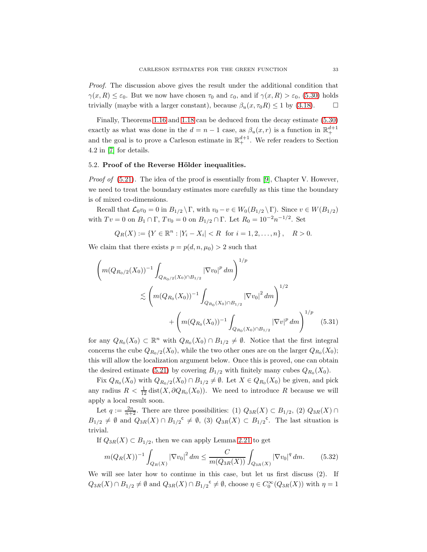*Proof.* The discussion above gives the result under the additional condition that  $\gamma(x,R) \leq \varepsilon_0$ . But we now have chosen  $\tau_0$  and  $\varepsilon_0$ , and if  $\gamma(x,R) > \varepsilon_0$ , [\(5.30\)](#page-31-5) holds trivially (maybe with a larger constant), because  $\beta_u(x, \tau_0 R) \le 1$  by [\(3.18\)](#page-16-2).  $\Box$ 

Finally, Theorems [1.16](#page-5-1) and [1.18](#page-6-0) can be deduced from the decay estimate [\(5.30\)](#page-31-5) exactly as what was done in the  $d = n - 1$  case, as  $\beta_u(x, r)$  is a function in  $\mathbb{R}^{d+1}_+$ and the goal is to prove a Carleson estimate in  $\mathbb{R}^{d+1}_+$ . We refer readers to Section 4.2 in [\[7\]](#page-35-1) for details.

## <span id="page-32-0"></span>5.2. Proof of the Reverse Hölder inequalities.

*Proof of* [\(5.21\)](#page-30-0). The idea of the proof is essentially from [\[9\]](#page-36-5), Chapter V. However, we need to treat the boundary estimates more carefully as this time the boundary is of mixed co-dimensions.

Recall that  $\mathcal{L}_0v_0 = 0$  in  $B_{1/2} \backslash \Gamma$ , with  $v_0 - v \in W_0(B_{1/2} \backslash \Gamma)$ . Since  $v \in W(B_{1/2})$ with  $Tv = 0$  on  $B_1 \cap \Gamma$ ,  $Tv_0 = 0$  on  $B_{1/2} \cap \Gamma$ . Let  $R_0 = 10^{-2}n^{-1/2}$ . Set

<span id="page-32-2"></span>
$$
Q_R(X) := \{ Y \in \mathbb{R}^n : |Y_i - X_i| < R \ \text{ for } i = 1, 2, \dots, n \}, \quad R > 0.
$$

We claim that there exists  $p = p(d, n, \mu_0) > 2$  such that

$$
\left(m(Q_{R_0/2}(X_0))^{-1}\int_{Q_{R_0/2}(X_0)\cap B_{1/2}}|\nabla v_0|^p dm\right)^{1/p}
$$
  
\$\lesssim \left(m(Q\_{R\_0}(X\_0))^{-1}\int\_{Q\_{R\_0}(X\_0)\cap B\_{1/2}}|\nabla v\_0|^2 dm\right)^{1/2}\$  
\$+\left(m(Q\_{R\_0}(X\_0))^{-1}\int\_{Q\_{R\_0}(X\_0)\cap B\_{1/2}}|\nabla v|^p dm\right)^{1/p}\$(5.31)\$

for any  $Q_{R_0}(X_0) \subset \mathbb{R}^n$  with  $Q_{R_0}(X_0) \cap B_{1/2} \neq \emptyset$ . Notice that the first integral concerns the cube  $Q_{R_0/2}(X_0)$ , while the two other ones are on the larger  $Q_{R_0}(X_0)$ ; this will allow the localization argument below. Once this is proved, one can obtain the desired estimate [\(5.21\)](#page-30-0) by covering  $B_{1/2}$  with finitely many cubes  $Q_{R_0}(X_0)$ .

Fix  $Q_{R_0}(X_0)$  with  $Q_{R_0/2}(X_0) \cap B_{1/2} \neq \emptyset$ . Let  $X \in Q_{R_0}(X_0)$  be given, and pick any radius  $R < \frac{1}{12}$  dist $(X, \partial Q_{R_0}(X_0))$ . We need to introduce R because we will apply a local result soon.

Let  $q := \frac{2n}{n+2}$ . There are three possibilities:  $(1) Q_{3R}(X) \subset B_{1/2}$ ,  $(2) Q_{3R}(X) \cap$  $B_{1/2} \neq \emptyset$  and  $Q_{3R}(X) \cap B_{1/2}^{\text{c}} \neq \emptyset$ , (3)  $Q_{3R}(X) \subset B_{1/2}^{\text{c}}$ . The last situation is trivial.

If  $Q_{3R}(X) \subset B_{1/2}$ , then we can apply Lemma [2.21](#page-10-4) to get

<span id="page-32-1"></span>
$$
m(Q_R(X))^{-1} \int_{Q_R(X)} |\nabla v_0|^2 \, dm \le \frac{C}{m(Q_{3R}(X))} \int_{Q_{3R}(X)} |\nabla v_0|^q \, dm. \tag{5.32}
$$

We will see later how to continue in this case, but let us first discuss (2). If  $Q_{3R}(X) \cap B_{1/2} \neq \emptyset$  and  $Q_{3R}(X) \cap B_{1/2}^{\text{c}} \neq \emptyset$ , choose  $\eta \in C_0^{\infty}(Q_{3R}(X))$  with  $\eta = 1$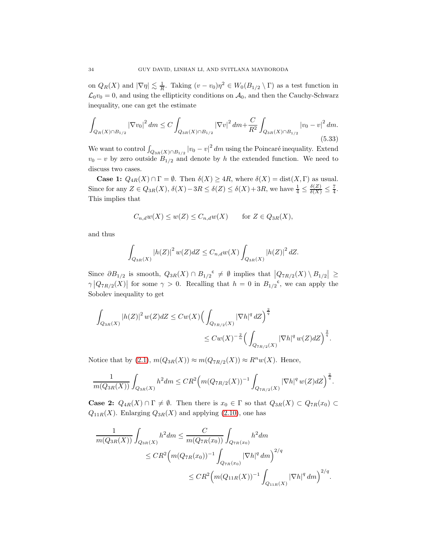on  $Q_R(X)$  and  $|\nabla \eta| \lesssim \frac{1}{R}$ . Taking  $(v - v_0)\eta^2 \in W_0(B_{1/2} \setminus \Gamma)$  as a test function in  $\mathcal{L}_0v_0 = 0$ , and using the ellipticity conditions on  $\mathcal{A}_0$ , and then the Cauchy-Schwarz inequality, one can get the estimate

<span id="page-33-0"></span>
$$
\int_{Q_R(X)\cap B_{1/2}} |\nabla v_0|^2 dm \le C \int_{Q_{3R}(X)\cap B_{1/2}} |\nabla v|^2 dm + \frac{C}{R^2} \int_{Q_{3R}(X)\cap B_{1/2}} |v_0 - v|^2 dm. \tag{5.33}
$$

We want to control  $\int_{Q_{3R}(X)\cap B_{1/2}} |v_0 - v|^2 dm$  using the Poincaré inequality. Extend  $v_0 - v$  by zero outside  $B_{1/2}$  and denote by h the extended function. We need to discuss two cases.

**Case 1:**  $Q_{4R}(X) \cap \Gamma = \emptyset$ . Then  $\delta(X) \ge 4R$ , where  $\delta(X) = \text{dist}(X, \Gamma)$  as usual. Since for any  $Z \in Q_{3R}(X)$ ,  $\delta(X) - 3R \leq \delta(Z) \leq \delta(X) + 3R$ , we have  $\frac{1}{4} \leq \frac{\delta(Z)}{\delta(X)} \leq \frac{7}{4}$ . This implies that

$$
C_{n,d}w(X) \le w(Z) \le C_{n,d}w(X) \quad \text{for } Z \in Q_{3R}(X),
$$

and thus

$$
\int_{Q_{3R}(X)} |h(Z)|^2 w(Z) dZ \leq C_{n,d} w(X) \int_{Q_{3R}(X)} |h(Z)|^2 dZ.
$$

Since  $\partial B_{1/2}$  is smooth,  $Q_{3R}(X) \cap B_{1/2}^{\circ} \neq \emptyset$  implies that  $|Q_{7R/2}(X) \setminus B_{1/2}| \geq$  $\gamma |Q_{7R/2}(X)|$  for some  $\gamma > 0$ . Recalling that  $h = 0$  in  $B_{1/2}^{\circ}$ , we can apply the Sobolev inequality to get

$$
\int_{Q_{3R}(X)} |h(Z)|^2 w(Z) dZ \le C w(X) \Big( \int_{Q_{7R/2}(X)} |\nabla h|^q dZ \Big)^{\frac{2}{q}} \n\le C w(X)^{-\frac{2}{n}} \Big( \int_{Q_{7R/2}(X)} |\nabla h|^q w(Z) dZ \Big)^{\frac{2}{q}}.
$$

Notice that by [\(2.1\)](#page-7-3),  $m(Q_{3R}(X)) \approx m(Q_{7R/2}(X)) \approx R^n w(X)$ . Hence,

$$
\frac{1}{m(Q_{3R}(X))}\int_{Q_{3R}(X)}h^2dm\leq CR^2\Big(m(Q_{7R/2}(X))^{-1}\int_{Q_{7R/2}(X)}|\nabla h|^q\,w(Z)dZ\Big)^{\frac{2}{q}}.
$$

**Case 2:**  $Q_{4R}(X) \cap \Gamma \neq \emptyset$ . Then there is  $x_0 \in \Gamma$  so that  $Q_{3R}(X) \subset Q_{7R}(x_0) \subset \Omega$  $Q_{11R}(X)$ . Enlarging  $Q_{3R}(X)$  and applying [\(2.10\)](#page-8-0), one has

$$
\frac{1}{m(Q_{3R}(X))} \int_{Q_{3R}(X)} h^2 dm \leq \frac{C}{m(Q_{7R}(x_0))} \int_{Q_{7R}(x_0)} h^2 dm
$$
  
\n
$$
\leq CR^2 \Big( m(Q_{7R}(x_0))^{-1} \int_{Q_{7R}(x_0)} |\nabla h|^q dm \Big)^{2/q}
$$
  
\n
$$
\leq CR^2 \Big( m(Q_{11R}(X))^{-1} \int_{Q_{11R}(X)} |\nabla h|^q dm \Big)^{2/q}.
$$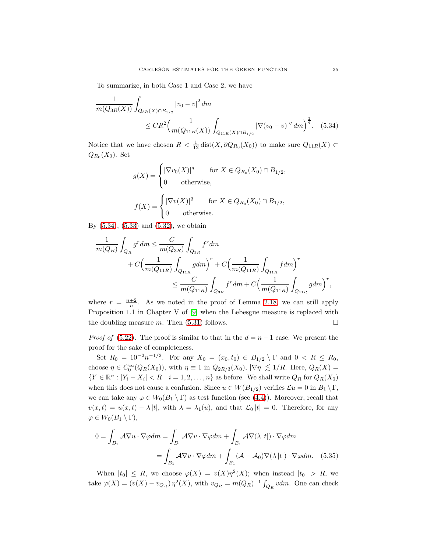To summarize, in both Case 1 and Case 2, we have

$$
\frac{1}{m(Q_{3R}(X))} \int_{Q_{3R}(X) \cap B_{1/2}} |v_0 - v|^2 dm
$$
\n
$$
\leq CR^2 \Big( \frac{1}{m(Q_{11R}(X))} \int_{Q_{11R}(X) \cap B_{1/2}} |\nabla (v_0 - v)|^q dm \Big)^{\frac{2}{q}}.
$$
\n(5.34)

Notice that we have chosen  $R < \frac{1}{12}$  dist $(X, \partial Q_{R_0}(X_0))$  to make sure  $Q_{11R}(X) \subset$  $Q_{R_0}(X_0)$ . Set

<span id="page-34-0"></span>
$$
g(X) = \begin{cases} |\nabla v_0(X)|^q & \text{for } X \in Q_{R_0}(X_0) \cap B_{1/2}, \\ 0 & \text{otherwise}, \end{cases}
$$

$$
f(X) = \begin{cases} |\nabla v(X)|^q & \text{for } X \in Q_{R_0}(X_0) \cap B_{1/2}, \\ 0 & \text{otherwise}. \end{cases}
$$

By [\(5.34\)](#page-34-0), [\(5.33\)](#page-33-0) and [\(5.32\)](#page-32-1), we obtain

$$
\begin{split} \frac{1}{m(Q_R)} \int_{Q_R} g^r dm &\leq \frac{C}{m(Q_{3R})} \int_{Q_{3R}} f^r dm \\ &+ C \Big( \frac{1}{m(Q_{11R})} \int_{Q_{11R}} g dm \Big)^r + C \Big( \frac{1}{m(Q_{11R})} \int_{Q_{11R}} f dm \Big)^r \\ &\leq \frac{C}{m(Q_{11R})} \int_{Q_{3R}} f^r dm + C \Big( \frac{1}{m(Q_{11R})} \int_{Q_{11R}} g dm \Big)^r, \end{split}
$$

where  $r = \frac{n+2}{n}$ . As we noted in the proof of Lemma [2.18,](#page-10-1) we can still apply Proposition 1.1 in Chapter V of [\[9\]](#page-36-5) when the Lebesgue measure is replaced with the doubling measure m. Then  $(5.31)$  follows.

*Proof of* [\(5.22\)](#page-30-1). The proof is similar to that in the  $d = n - 1$  case. We present the proof for the sake of completeness.

Set  $R_0 = 10^{-2} n^{-1/2}$ . For any  $X_0 = (x_0, t_0) \in B_{1/2} \setminus \Gamma$  and  $0 \lt R \le R_0$ , choose  $\eta \in C_0^{\infty}(Q_R(X_0))$ , with  $\eta \equiv 1$  in  $Q_{2R/3}(X_0)$ ,  $|\nabla \eta| \lesssim 1/R$ . Here,  $Q_R(X)$  =  $\{Y \in \mathbb{R}^n : |Y_i - X_i| < R \quad i = 1, 2, \dots, n\}$  as before. We shall write  $Q_R$  for  $Q_R(X_0)$ when this does not cause a confusion. Since  $u \in W(B_{1/2})$  verifies  $\mathcal{L}u = 0$  in  $B_1 \setminus \Gamma$ , we can take any  $\varphi \in W_0(B_1 \setminus \Gamma)$  as test function (see [\(4.4\)](#page-17-2)). Moreover, recall that  $v(x,t) = u(x,t) - \lambda |t|$ , with  $\lambda = \lambda_1(u)$ , and that  $\mathcal{L}_0 |t| = 0$ . Therefore, for any  $\varphi \in W_0(B_1 \setminus \Gamma),$ 

<span id="page-34-1"></span>
$$
0 = \int_{B_1} A \nabla u \cdot \nabla \varphi dm = \int_{B_1} A \nabla v \cdot \nabla \varphi dm + \int_{B_1} A \nabla (\lambda |t|) \cdot \nabla \varphi dm
$$
  
= 
$$
\int_{B_1} A \nabla v \cdot \nabla \varphi dm + \int_{B_1} (A - A_0) \nabla (\lambda |t|) \cdot \nabla \varphi dm.
$$
 (5.35)

When  $|t_0| \leq R$ , we choose  $\varphi(X) = v(X)\eta^2(X)$ ; when instead  $|t_0| > R$ , we take  $\varphi(X) = (v(X) - v_{Q_R}) \eta^2(X)$ , with  $v_{Q_R} = m(Q_R)^{-1} \int_{Q_R} v dm$ . One can check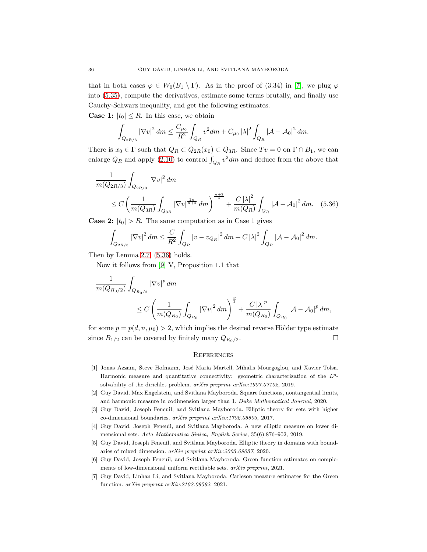that in both cases  $\varphi \in W_0(B_1 \setminus \Gamma)$ . As in the proof of (3.34) in [\[7\]](#page-35-1), we plug  $\varphi$ into [\(5.35\)](#page-34-1), compute the derivatives, estimate some terms brutally, and finally use Cauchy-Schwarz inequality, and get the following estimates.

**Case 1:**  $|t_0| \leq R$ . In this case, we obtain

$$
\int_{Q_{2R/3}} |\nabla v|^2 dm \le \frac{C_{\mu_0}}{R^2} \int_{Q_R} v^2 dm + C_{\mu_0} |\lambda|^2 \int_{Q_R} |\mathcal{A} - \mathcal{A}_0|^2 dm.
$$

There is  $x_0 \in \Gamma$  such that  $Q_R \subset Q_{2R}(x_0) \subset Q_{3R}$ . Since  $Tv = 0$  on  $\Gamma \cap B_1$ , we can enlarge  $Q_R$  and apply [\(2.10\)](#page-8-0) to control  $\int_{Q_R} v^2 dm$  and deduce from the above that

$$
\frac{1}{m(Q_{2R/3})} \int_{Q_{2R/3}} |\nabla v|^2 dm
$$
\n
$$
\leq C \left( \frac{1}{m(Q_{3R})} \int_{Q_{3R}} |\nabla v|^{\frac{2n}{n+2}} dm \right)^{\frac{n+2}{n}} + \frac{C |\lambda|^2}{m(Q_R)} \int_{Q_R} |\mathcal{A} - \mathcal{A}_0|^2 dm. \quad (5.36)
$$

**Case 2:**  $|t_0| > R$ . The same computation as in Case 1 gives

$$
\int_{Q_{2R/3}} |\nabla v|^2 dm \leq \frac{C}{R^2} \int_{Q_R} |v - v_{Q_R}|^2 dm + C |\lambda|^2 \int_{Q_R} |A - A_0|^2 dm.
$$

Then by Lemma [2.7,](#page-8-2) [\(5.36\)](#page-35-8) holds.

Now it follows from [\[9\]](#page-36-5) V, Proposition 1.1 that

$$
\frac{1}{m(Q_{R_0/2})} \int_{Q_{R_0/2}} |\nabla v|^p dm
$$
\n
$$
\leq C \left( \frac{1}{m(Q_{R_0})} \int_{Q_{R_0}} |\nabla v|^2 dm \right)^{\frac{p}{2}} + \frac{C |\lambda|^p}{m(Q_{R_0})} \int_{Q_{R_0}} |A - A_0|^p dm,
$$

for some  $p = p(d, n, \mu_0) > 2$ , which implies the desired reverse Hölder type estimate since  $B_{1/2}$  can be covered by finitely many  $Q_{R_0/2}$ .

#### <span id="page-35-8"></span><span id="page-35-0"></span>**REFERENCES**

- <span id="page-35-2"></span>[1] Jonas Azzam, Steve Hofmann, José María Martell, Mihalis Mourgoglou, and Xavier Tolsa. Harmonic measure and quantitative connectivity: geometric characterization of the  $L^p$ solvability of the dirichlet problem. *arXiv preprint arXiv:1907.07102*, 2019.
- <span id="page-35-6"></span><span id="page-35-4"></span>[2] Guy David, Max Engelstein, and Svitlana Mayboroda. Square functions, nontangential limits, and harmonic measure in codimension larger than 1. *Duke Mathematical Journal*, 2020.
- [3] Guy David, Joseph Feneuil, and Svitlana Mayboroda. Elliptic theory for sets with higher co-dimensional boundaries. *arXiv preprint arXiv:1702.05503*, 2017.
- <span id="page-35-7"></span><span id="page-35-5"></span>[4] Guy David, Joseph Feneuil, and Svitlana Mayboroda. A new elliptic measure on lower dimensional sets. *Acta Mathematica Sinica, English Series*, 35(6):876–902, 2019.
- <span id="page-35-3"></span>[5] Guy David, Joseph Feneuil, and Svitlana Mayboroda. Elliptic theory in domains with boundaries of mixed dimension. *arXiv preprint arXiv:2003.09037*, 2020.
- [6] Guy David, Joseph Feneuil, and Svitlana Mayboroda. Green function estimates on complements of low-dimensional uniform rectifiable sets. *arXiv preprint*, 2021.
- <span id="page-35-1"></span>[7] Guy David, Linhan Li, and Svitlana Mayboroda. Carleson measure estimates for the Green function. *arXiv preprint arXiv:2102.09592*, 2021.